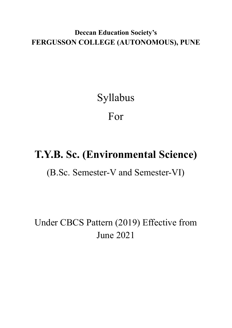**Deccan Education Society's FERGUSSON COLLEGE (AUTONOMOUS), PUNE**

# Syllabus For

# **T.Y.B. Sc. (Environmental Science)**

(B.Sc. Semester-V and Semester-VI)

Under CBCS Pattern (2019) Effective from June 2021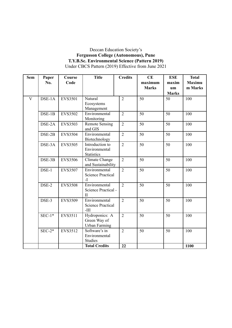#### Deccan Education Society's **Fergusson College (Autonomous), Pune T.Y.B.Sc. Environmental Science (Pattern 2019)** Under CBCS Pattern (2019) Effective from June 2021

| <b>Sem</b>              | Paper    | Course         | <b>Title</b>                        | <b>Credits</b> | CE           | <b>ESE</b>   | <b>Total</b>  |
|-------------------------|----------|----------------|-------------------------------------|----------------|--------------|--------------|---------------|
|                         | No.      | Code           |                                     |                | maximum      | maxim        | <b>Maximu</b> |
|                         |          |                |                                     |                | <b>Marks</b> | um           | m Marks       |
|                         |          |                |                                     |                |              | <b>Marks</b> |               |
| $\overline{\mathbf{V}}$ | $DSE-1A$ | <b>EVS3501</b> | Natural                             | $\overline{2}$ | 50           | 50           | 100           |
|                         |          |                | Ecosystems                          |                |              |              |               |
|                         |          |                | Management                          |                |              |              |               |
|                         | $DSE-1B$ | <b>EVS3502</b> | Environmental                       | $\overline{2}$ | 50           | 50           | 100           |
|                         |          |                | Monitoring                          |                |              |              |               |
|                         | DSE-2A   | <b>EVS3503</b> | <b>Remote Sensing</b>               | $\overline{2}$ | 50           | 50           | 100           |
|                         |          |                | and GIS                             |                |              |              |               |
|                         | DSE-2B   | <b>EVS3504</b> | Environmental                       | $\overline{2}$ | 50           | 50           | 100           |
|                         |          |                | Biotechnology                       |                |              |              |               |
|                         | DSE-3A   | <b>EVS3505</b> | Introduction to                     | $\overline{2}$ | 50           | 50           | 100           |
|                         |          |                | Environmental                       |                |              |              |               |
|                         | DSE-3B   | <b>EVS3506</b> | <b>Statistics</b><br>Climate Change | $\overline{2}$ | 50           | 50           | 100           |
|                         |          |                | and Sustainability                  |                |              |              |               |
|                         | DSE-1    | <b>EVS3507</b> | Environmental                       | $\overline{2}$ | 50           | 50           | 100           |
|                         |          |                | <b>Science Practical</b>            |                |              |              |               |
|                         |          |                | $-I$                                |                |              |              |               |
|                         | DSE-2    | <b>EVS3508</b> | Environmental                       | $\overline{2}$ | 50           | 50           | 100           |
|                         |          |                | Science Practical -                 |                |              |              |               |
|                         |          |                | $\mathbf{I}$                        |                |              |              |               |
|                         | DSE-3    | <b>EVS3509</b> | Environmental                       | $\overline{2}$ | 50           | 50           | 100           |
|                         |          |                | <b>Science Practical</b>            |                |              |              |               |
|                         |          |                | $-III$                              |                |              |              |               |
|                         | $SEC-1*$ | EVS3511        | Hydroponics: A                      | $\overline{2}$ | 50           | 50           | 100           |
|                         |          |                | Green Way of                        |                |              |              |               |
|                         |          |                | Urban Farming                       |                |              |              |               |
|                         | $SEC-2*$ | EVS3512        | Software's in                       | $\overline{2}$ | 50           | 50           | 100           |
|                         |          |                | Environmental                       |                |              |              |               |
|                         |          |                | <b>Studies</b>                      |                |              |              |               |
|                         |          |                | <b>Total Credits</b>                | 22             |              |              | 1100          |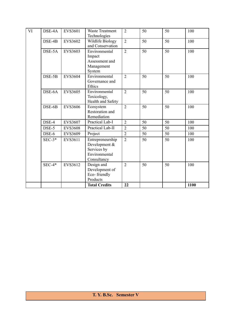| VI | DSE-4A   | <b>EVS3601</b> | <b>Waste Treatment</b><br>Technologies                                           | $\overline{2}$ | 50 | 50 | 100  |
|----|----------|----------------|----------------------------------------------------------------------------------|----------------|----|----|------|
|    | DSE-4B   | <b>EVS3602</b> | Wildlife Biology<br>and Conservation                                             | $\overline{2}$ | 50 | 50 | 100  |
|    | DSE-5A   | <b>EVS3603</b> | Environmental<br>Impact<br>Assessment and<br>Management<br>System                | $\overline{2}$ | 50 | 50 | 100  |
|    | DSE-5B   | <b>EVS3604</b> | Environmental<br>Governance and<br>Ethics                                        | $\overline{2}$ | 50 | 50 | 100  |
|    | DSE-6A   | <b>EVS3605</b> | Environmental<br>Toxicology,<br>Health and Safety                                | $\overline{2}$ | 50 | 50 | 100  |
|    | DSE-6B   | <b>EVS3606</b> | Ecosystem<br>Restoration and<br>Remediation                                      | $\overline{2}$ | 50 | 50 | 100  |
|    | DSE-4    | <b>EVS3607</b> | Practical Lab-I                                                                  | $\overline{2}$ | 50 | 50 | 100  |
|    | DSE-5    | <b>EVS3608</b> | Practical Lab-II                                                                 | $\overline{2}$ | 50 | 50 | 100  |
|    | DSE-6    | <b>EVS3609</b> | Project                                                                          | $\overline{2}$ | 50 | 50 | 100  |
|    | $SEC-3*$ | EVS3611        | Entrepreneurship<br>Development &<br>Services by<br>Environmental<br>Consultancy | $\overline{2}$ | 50 | 50 | 100  |
|    | $SEC-4*$ | EVS3612        | Design and<br>Development of<br>Eco-friendly<br>Products                         | $\overline{2}$ | 50 | 50 | 100  |
|    |          |                | <b>Total Credits</b>                                                             | 22             |    |    | 1100 |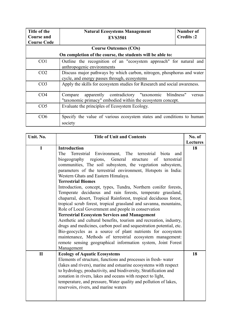| Title of the       | <b>Natural Ecosystems Management</b>                                      | Number of        |  |
|--------------------|---------------------------------------------------------------------------|------------------|--|
| <b>Course and</b>  | <b>EVS3501</b>                                                            | <b>Credits:2</b> |  |
| <b>Course Code</b> |                                                                           |                  |  |
|                    | <b>Course Outcomes (COs)</b>                                              |                  |  |
|                    | On completion of the course, the students will be able to:                |                  |  |
| CO <sub>1</sub>    | Outline the recognition of an "ecosystem approach" for natural and        |                  |  |
|                    | anthropogenic environments                                                |                  |  |
| CO <sub>2</sub>    | Discuss major pathways by which carbon, nitrogen, phosphorus and water    |                  |  |
|                    | cycle, and energy passes through, ecosystems                              |                  |  |
| CO <sub>3</sub>    | Apply the skills for ecosystem studies for Research and social awareness. |                  |  |
|                    |                                                                           |                  |  |
| CO <sub>4</sub>    | apparently contradictory "taxonomic blindness"<br>Compare                 | versus           |  |
|                    | "taxonomic primacy" embodied within the ecosystem concept.                |                  |  |
| CO <sub>5</sub>    | Evaluate the principles of Ecosystem Ecology.                             |                  |  |
|                    |                                                                           |                  |  |
| CO6                | Specify the value of various ecosystem states and conditions to human     |                  |  |
|                    | society                                                                   |                  |  |

| Unit. No.    | <b>Title of Unit and Contents</b>                                  | No. of          |
|--------------|--------------------------------------------------------------------|-----------------|
|              |                                                                    | <b>Lectures</b> |
| $\mathbf I$  | <b>Introduction</b>                                                | 18              |
|              | Environment, The terrestrial<br>Terrestrial<br>biota<br>The<br>and |                 |
|              | biogeography regions, General<br>structure<br>of<br>terrestrial    |                 |
|              | communities, The soil subsystem, the vegetation subsystem,         |                 |
|              | parameters of the terrestrial environment, Hotspots in India:      |                 |
|              | Western Ghats and Eastern Himalaya.                                |                 |
|              | <b>Terrestrial Biomes</b>                                          |                 |
|              | Introduction, concept, types, Tundra, Northern conifer forests,    |                 |
|              | Temperate deciduous and rain forests, temperate grassland,         |                 |
|              | chaparral, desert, Tropical Rainforest, tropical deciduous forest, |                 |
|              | tropical scrub forest, tropical grassland and savanna, mountains,  |                 |
|              | Role of Local Government and people in conservation                |                 |
|              | <b>Terrestrial Ecosystem Services and Management</b>               |                 |
|              | Aesthetic and cultural benefits, tourism and recreation, industry, |                 |
|              | drugs and medicines, carbon pool and sequestration potential, etc. |                 |
|              | Bio-geocycles as a source of plant nutrients for ecosystem         |                 |
|              | maintenance, Methods of terrestrial ecosystem management:          |                 |
|              | remote sensing geographical information system, Joint Forest       |                 |
|              | Management                                                         |                 |
| $\mathbf{I}$ | <b>Ecology of Aquatic Ecosystems</b>                               | 18              |
|              | Elements of structure, functions and processes in fresh-water      |                 |
|              | (lakes and rivers), marine and estuarine ecosystems with respect   |                 |
|              | to hydrology, productivity, and biodiversity, Stratification and   |                 |
|              | zonation in rivers, lakes and oceans with respect to light,        |                 |
|              | temperature, and pressure, Water quality and pollution of lakes,   |                 |
|              | reservoirs, rivers, and marine waters                              |                 |
|              |                                                                    |                 |
|              |                                                                    |                 |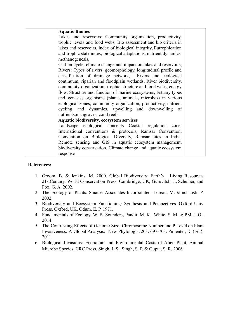| <b>Aquatic Biomes</b>                                               |  |
|---------------------------------------------------------------------|--|
| Lakes and reservoirs: Community organization, productivity,         |  |
| trophic levels and food webs, Bio assessment and bio criteria in    |  |
| lakes and reservoirs, index of biological integrity, Eutrophication |  |
| and trophic state index; biological adaptations, nutrient dynamics, |  |
| methanogenesis,                                                     |  |
| Carbon cycle, climate change and impact on lakes and reservoirs,    |  |
| Rivers: Types of rivers, geomorphology, longitudinal profile and    |  |
| classification of drainage network, Rivers and ecological           |  |
| continuum, riparian and floodplain wetlands, River biodiversity,    |  |
| community organization; trophic structure and food webs; energy     |  |
| flow, Structure and function of marine ecosystems, Estuary types    |  |
| and genesis; organisms (plants, animals, microbes) in various       |  |
| ecological zones, community organization, productivity, nutrient    |  |
| cycling and dynamics, upwelling and downwelling of                  |  |
| nutrients, mangroves, coral reefs.                                  |  |
| <b>Aquatic biodiversity, ecosystem services</b>                     |  |
| Landscape ecological concepts Coastal regulation<br>zone,           |  |
| International conventions & protocols, Ramsar Convention,           |  |
| Convention on Biological Diversity, Ramsar sites in India,          |  |
| Remote sensing and GIS in aquatic ecosystem management,             |  |
| biodiversity conservation, Climate change and aquatic ecosystem     |  |
| response                                                            |  |

- 1. Groom. B. & Jenkins. M. 2000. Global Biodiversity: Earth's Living Resources 21stCentury. World Conservation Press, Cambridge, UK, Gurevitch, J., Scheiner, and Fox, G. A. 2002.
- 2. The Ecology of Plants. Sinauer Associates Incorporated. Loreau, M. &Inchausti, P. 2002.
- 3. Biodiversity and Ecosystem Functioning: Synthesis and Perspectives. Oxford Univ Press, Oxford, UK, Odum, E. P. 1971.
- 4. Fundamentals of Ecology. W. B. Sounders, Pandit, M. K., White, S. M. & PM. J. O., 2014.
- 5. The Contrasting Effects of Genome Size, Chromosome Number and P Level on Plant Invasiveness: A Global Analysis. New Phytologist 203: 697-703. Pimentel, D. (Ed.). 2011.
- 6. Biological Invasions: Economic and Environmental Costs of Alien Plant, Animal Microbe Species. CRC Press. Singh, J. S., Singh, S. P. & Gupta, S. R. 2006.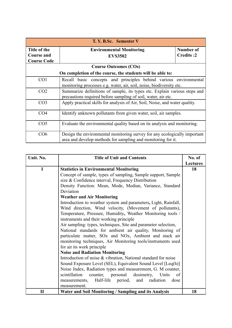| T. Y. B.Sc. Semester V                                  |                                                                                                                                            |                               |  |
|---------------------------------------------------------|--------------------------------------------------------------------------------------------------------------------------------------------|-------------------------------|--|
| Title of the<br><b>Course and</b><br><b>Course Code</b> | <b>Environmental Monitoring</b><br><b>EVS3502</b>                                                                                          | Number of<br><b>Credits:2</b> |  |
|                                                         | <b>Course Outcomes (COs)</b>                                                                                                               |                               |  |
|                                                         | On completion of the course, the students will be able to:                                                                                 |                               |  |
| CO <sub>1</sub>                                         | Recall basic concepts and principles behind various environmental<br>monitoring processes e.g. water, air, soil, noise, biodiversity etc.  |                               |  |
| CO <sub>2</sub>                                         | Summarize definitions of sample, its types etc. Explain various steps and<br>precautions required before sampling of soil, water, air etc. |                               |  |
| CO <sub>3</sub>                                         | Apply practical skills for analysis of Air, Soil, Noise, and water quality.                                                                |                               |  |
| CO <sub>4</sub>                                         | Identify unknown pollutants from given water, soil, air samples.                                                                           |                               |  |
| CO <sub>5</sub>                                         | Evaluate the environmental quality based on its analysis and monitoring.                                                                   |                               |  |
| CO6                                                     | Design the environmental monitoring survey for any ecologically important<br>area and develop methods for sampling and monitoring for it.  |                               |  |

| Unit. No.    | <b>Title of Unit and Contents</b>                                               | No. of          |
|--------------|---------------------------------------------------------------------------------|-----------------|
|              |                                                                                 | <b>Lectures</b> |
| $\mathbf I$  | <b>Statistics in Environmental Monitoring</b>                                   | 18              |
|              | Concept of sample, types of sampling, Sample support, Sample                    |                 |
|              | size & Confidence interval, Frequency Distribution                              |                 |
|              | Density Function: Mean, Mode, Median, Variance, Standard                        |                 |
|              | Deviation                                                                       |                 |
|              | <b>Weather and Air Monitoring</b>                                               |                 |
|              | Introduction to weather system and parameters, Light, Rainfall,                 |                 |
|              | Wind direction, Wind velocity, (Movement of pollutants),                        |                 |
|              | Temperature, Pressure, Humidity, Weather Monitoring tools /                     |                 |
|              | instruments and their working principle                                         |                 |
|              | Air sampling: types, techniques, Site and parameter selection,                  |                 |
|              | National standards for ambient air quality, Monitoring of                       |                 |
|              | particulate matter, SO <sub>x</sub> and NO <sub>x</sub> , Ambient and stack air |                 |
|              | monitoring techniques, Air Monitoring tools/instruments used                    |                 |
|              | for air its work principle                                                      |                 |
|              | <b>Noise and Radiation Monitoring</b>                                           |                 |
|              | Introduction of noise & vibration, National standard for noise                  |                 |
|              | Sound Exposure Level (SEL), Equivalent Sound Level [Leq(h)]                     |                 |
|              | Noise Index, Radiation types and measurement, G. M counter,                     |                 |
|              | scintillation<br>dosimetry,<br>counter, personal<br>Units<br>of                 |                 |
|              | Half-life<br>period,<br>radiation<br>and<br>measurements,<br>dose               |                 |
|              | measurement.                                                                    |                 |
| $\mathbf{I}$ | Water and Soil Monitoring / Sampling and its Analysis                           | 18              |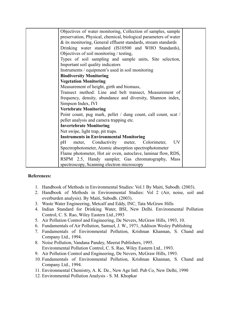| Objectives of water monitoring, Collection of samples, sample    |  |
|------------------------------------------------------------------|--|
| preservation, Physical, chemical, biological parameters of water |  |
| & its monitoring, General effluent standards, stream standards   |  |
| Drinking water standard (IS10500 and WHO Standards),             |  |
| Objectives of soil monitoring / testing,                         |  |
| Types of soil sampling and sample units, Site selection,         |  |
| Important soil quality indicators                                |  |
| Instruments / equipment's used in soil monitoring                |  |
| <b>Biodiversity Monitoring</b>                                   |  |
| <b>Vegetation Monitoring</b>                                     |  |
| Measurement of height, girth and biomass,                        |  |
| Transect method: Line and belt transect, Measurement of          |  |
| frequency, density, abundance and diversity, Shannon index,      |  |
| Simpson Index, IVI                                               |  |
| <b>Vertebrate Monitoring</b>                                     |  |
| Point count, pug mark, pellet / dung count, call count, scat /   |  |
| pellet analysis and camera trapping etc.                         |  |
| <b>Invertebrate Monitoring</b>                                   |  |
| Net swipe, light trap, pit traps.                                |  |
| <b>Instruments in Environmental Monitoring</b>                   |  |
| <b>UV</b><br>meter, Conductivity<br>meter,<br>Colorimeter,<br>pH |  |
| Spectrophotometer, Atomic absorption spectrophotometer           |  |
|                                                                  |  |
| Flame photometer, Hot air oven, autoclave, laminar flow, RDS,    |  |
| RSPM 2.5, Handy sampler, Gas chromatography, Mass                |  |
| spectroscopy, Scanning electron microscopy                       |  |

- 1. Handbook of Methods in Environmental Studies: Vol.1 By Maiti, Subodh. (2003).
- 2. Handbook of Methods in Environmental Studies: Vol 2 (Air, noise, soil and overburden analysis). By Maiti, Subodh. (2003).
- 3. Waste Water Engineering, Metcalf and Eddy, INC, Tata McGraw Hills
- 4. Indian Standard for Drinking Water, BSI, New Delhi. Environmental Pollution Control, C. S. Rao, Wiley Eastern Ltd.,1993
- 5. Air Pollution Control and Engineering, De Nevers, McGraw Hills, 1993, 10.
- 6. Fundamentals of Air Pollution, Samuel, J. W., 1971, Addison Wesley Publishing
- 7. Fundamentals of Environmental Pollution, Krishnan Khannan, S. Chand and Company Ltd., 1994.
- 8. Noise Pollution, Vandana Pandey, Meerut Publishers, 1995. Environmental Pollution Control, C. S. Rao, Wiley Eastern Ltd., 1993.
- 9. Air Pollution Control and Engineering, De Nevers, McGraw Hills, 1993.
- 10. Fundamentals of Environmental Pollution, Krishnan Khannan, S. Chand and Company Ltd., 1994.
- 11. Environmental Chemistry, A. K. De., New Age Intl. Pub Co, New Delhi, 1990
- 12. Environmental Pollution Analysis S. M. Khopkar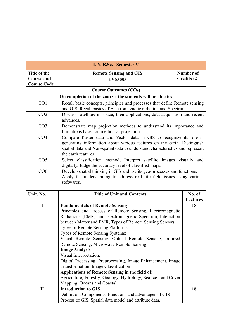| T. Y. B.Sc. Semester V            |                                                                                                                                                                                                                                                       |  |  |
|-----------------------------------|-------------------------------------------------------------------------------------------------------------------------------------------------------------------------------------------------------------------------------------------------------|--|--|
| Title of the<br><b>Course and</b> | Number of<br><b>Remote Sensing and GIS</b><br><b>Credits:2</b>                                                                                                                                                                                        |  |  |
| <b>Course Code</b>                | <b>EVS3503</b>                                                                                                                                                                                                                                        |  |  |
|                                   | <b>Course Outcomes (COs)</b>                                                                                                                                                                                                                          |  |  |
|                                   | On completion of the course, the students will be able to:                                                                                                                                                                                            |  |  |
| CO <sub>1</sub>                   | Recall basic concepts, principles and processes that define Remote sensing<br>and GIS. Recall basics of Electromagnetic radiation and Spectrum.                                                                                                       |  |  |
| CO <sub>2</sub>                   | Discuss satellites in space, their applications, data acquisition and recent<br>advances.                                                                                                                                                             |  |  |
| CO <sub>3</sub>                   | Demonstrate map projection methods to understand its importance and<br>limitations based on method of projection.                                                                                                                                     |  |  |
| CO <sub>4</sub>                   | Compare Raster data and Vector data in GIS to recognize its role in<br>generating information about various features on the earth. Distinguish<br>spatial data and Non-spatial data to understand characteristics and represent<br>the earth features |  |  |
| CO <sub>5</sub>                   | Select classification method, Interpret satellite images visually and<br>digitally. Judge the accuracy level of classified maps.                                                                                                                      |  |  |
| CO6                               | Develop spatial thinking in GIS and use its geo-processes and functions.<br>Apply the understanding to address real life field issues using various<br>softwares.                                                                                     |  |  |

| Unit. No.    | <b>Title of Unit and Contents</b>                             | No. of          |
|--------------|---------------------------------------------------------------|-----------------|
|              |                                                               | <b>Lectures</b> |
|              | <b>Fundamentals of Remote Sensing</b>                         | 18              |
|              | Principles and Process of Remote Sensing, Electromagnetic     |                 |
|              | Radiations (EMR) and Electromagnetic Spectrum, Interaction    |                 |
|              | between Matter and EMR, Types of Remote Sensing Sensors       |                 |
|              | Types of Remote Sensing Platforms,                            |                 |
|              | <b>Types of Remote Sensing Systems:</b>                       |                 |
|              | Visual Remote Sensing, Optical Remote Sensing, Infrared       |                 |
|              | Remote Sensing, Microwave Remote Sensing                      |                 |
|              | <b>Image Analysis</b>                                         |                 |
|              | Visual Interpretation,                                        |                 |
|              | Digital Processing: Preprocessing, Image Enhancement, Image   |                 |
|              | Transformation, Image Classification                          |                 |
|              | Applications of Remote Sensing in the field of:               |                 |
|              | Agriculture, Forestry, Geology, Hydrology, Sea Ice Land Cover |                 |
|              | Mapping, Oceans and Coastal.                                  |                 |
| $\mathbf{I}$ | <b>Introduction to GIS</b>                                    | 18              |
|              | Definition, Components, Functions and advantages of GIS       |                 |
|              | Process of GIS, Spatial data model and attribute data.        |                 |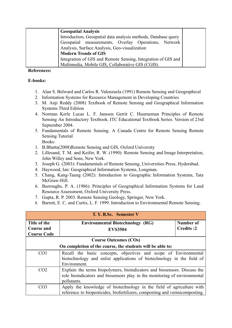| <b>Geospatial Analysis</b>                                     |  |
|----------------------------------------------------------------|--|
| Introduction, Geospatial data analysis methods, Database query |  |
| Geospatial measurements, Overlay Operations, Network           |  |
| Analysis, Surface Analysis, Geo-visualization                  |  |
| <b>Modern Trends of GIS</b>                                    |  |
| Integration of GIS and Remote Sensing, Integration of GIS and  |  |
| Multimedia, Mobile GIS, Collaborative GIS (CGIS)               |  |

#### **E-books:**

- 1. Alan S. Belward and Carlos R. Valenzuela (1991) Remote Sensing and Geographical
- 2. Information Systems for Resource Management in Developing Countries
- 3. M. Anji Reddy (2008) Textbook of Remote Sensing and Geographical Information Systems Third Edition
- 4. Norman Kerle Lucas L. F. Janssen Gerrit C. Huurneman Principles of Remote Sensing An Introductory Textbook. ITC Educational Textbook Series. Version of 23rd September 2004.
- 5. Fundamentals of Remote Sensing. A Canada Centre for Remote Sensing Remote Sensing Tutorial Books:
- 1. B.Bhatta(2008)Remote Sensing and GIS, Oxford University
- 2. Lillesand, T. M. and Keifer, R. W. (1990): Remote Sensing and Image Interpretation, John Willey and Sons, New York.
- 3. Joseph G. (2003): Fundamentals of Remote Sensing, Universities Press, Hyderabad.
- 4. Haywood, Ian: Geographical Information Systems, Longman.
- 5. Chang, Kang-Taung (2002): Introduction to Geographic Information Systems, Tata McGraw-Hill.
- 6. Burroughs, P. A. (1986): Principles of Geographical Information Systems for Land Resource Assessment, Oxford University Press.
- 7. Gupta, R. P. 2003. Remote Sensing Geology, Springer, New York.
- 8. Barrett, E. C. and Curtis, L. F. 1999. Introduction to Environmental Remote Sensing.

| T. Y. B.Sc. Semester V                                     |                                                                             |                  |  |
|------------------------------------------------------------|-----------------------------------------------------------------------------|------------------|--|
| Title of the                                               | <b>Environmental Biotechnology (RG)</b>                                     | Number of        |  |
| Course and                                                 | <b>EVS3504</b>                                                              | <b>Credits:2</b> |  |
| <b>Course Code</b>                                         |                                                                             |                  |  |
| <b>Course Outcomes (COs)</b>                               |                                                                             |                  |  |
| On completion of the course, the students will be able to: |                                                                             |                  |  |
| CO <sub>1</sub>                                            | Recall the basic concepts, objectives and scope of Environmental            |                  |  |
|                                                            | biotechnology and enlist applications of biotechnology in the field of      |                  |  |
|                                                            | Environment.                                                                |                  |  |
| CO <sub>2</sub>                                            | Explain the terms biopolymers, bioindicators and biosensors. Discuss the    |                  |  |
|                                                            | role bioindicators and biosensors play in the monitoring of environmental   |                  |  |
|                                                            | pollutants.                                                                 |                  |  |
| CO <sub>3</sub>                                            | Apply the knowledge of biotechnology in the field of agriculture with       |                  |  |
|                                                            | reference to biopesticides, biofertilizers, composting and vermicomposting. |                  |  |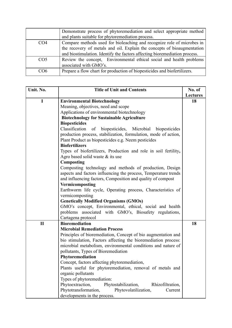|                 | Demonstrate process of phytoremediation and select appropriate method<br>and plants suitable for phytoremediation process.                                                                                                      |
|-----------------|---------------------------------------------------------------------------------------------------------------------------------------------------------------------------------------------------------------------------------|
| CO <sub>4</sub> | Compare methods used for bioleaching and recognize role of microbes in<br>the recovery of metals and oil. Explain the concepts of bioaugmentation<br>and biostimulation. Identify the factors affecting bioremediation process. |
| CO <sub>5</sub> | Review the concept, Environmental ethical social and health problems<br>associated with GMO's.                                                                                                                                  |
| CO <sub>6</sub> | Prepare a flow chart for production of biopesticides and biofertilizers.                                                                                                                                                        |

| Unit. No.    | <b>Title of Unit and Contents</b>                                 | No. of          |
|--------------|-------------------------------------------------------------------|-----------------|
|              |                                                                   | <b>Lectures</b> |
| I            | <b>Environmental Biotechnology</b>                                | 18              |
|              | Meaning, objectives, need and scope                               |                 |
|              | Applications of environmental biotechnology                       |                 |
|              | <b>Biotechnology for Sustainable Agriculture</b>                  |                 |
|              | <b>Biopesticides</b>                                              |                 |
|              | Classification<br>biopesticides, Microbial<br>of<br>biopesticides |                 |
|              | production process, stabilization, formulation, mode of action,   |                 |
|              | Plant Product as biopesticides e.g. Neem pesticides               |                 |
|              | <b>Biofertilizers</b>                                             |                 |
|              | Types of biofertilizers, Production and role in soil fertility,   |                 |
|              | Agro based solid waste $\&$ its use                               |                 |
|              | Composting                                                        |                 |
|              | Composting technology and methods of production, Design           |                 |
|              | aspects and factors influencing the process, Temperature trends   |                 |
|              | and influencing factors, Composition and quality of compost       |                 |
|              | Vermicomposting                                                   |                 |
|              | Earthworm life cycle, Operating process, Characteristics of       |                 |
|              | vermicomposting                                                   |                 |
|              | <b>Genetically Modified Organisms (GMOs)</b>                      |                 |
|              | GMO's concept, Environmental, ethical, social and health          |                 |
|              | problems associated with GMO's, Biosafety regulations,            |                 |
|              | Cartagena protocol                                                |                 |
| $\mathbf{I}$ | <b>Bioremediation</b>                                             | 18              |
|              | <b>Microbial Remediation Process</b>                              |                 |
|              | Principles of bioremediation, Concept of bio augmentation and     |                 |
|              | bio stimulation, Factors affecting the bioremediation process:    |                 |
|              | microbial metabolism, environmental conditions and nature of      |                 |
|              | pollutants, Types of Bioremediation                               |                 |
|              | Phytoremediation                                                  |                 |
|              | Concept, factors affecting phytoremediation,                      |                 |
|              | Plants useful for phytoremediation, removal of metals and         |                 |
|              | organic pollutants                                                |                 |
|              | Types of phytoremediation:                                        |                 |
|              | Phytoextraction,<br>Phytostabilization,<br>Rhizofiltration,       |                 |
|              | Phytotransformation,<br>Phytovolatilization,<br>Current           |                 |
|              | developments in the process.                                      |                 |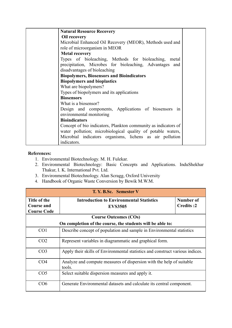| <b>Natural Resource Recovery</b>                               |  |
|----------------------------------------------------------------|--|
| <b>Oil recovery</b>                                            |  |
| Microbial Enhanced Oil Recovery (MEOR), Methods used and       |  |
| role of microorganism in MEOR                                  |  |
| <b>Metal recovery</b>                                          |  |
| Types of bioleaching, Methods for bioleaching,<br>metal        |  |
| precipitation, Microbes for bioleaching, Advantages and        |  |
| disadvantages of bioleaching                                   |  |
| <b>Biopolymers, Biosensors and Bioindicators</b>               |  |
| <b>Biopolymers and bioplastics</b>                             |  |
| What are biopolymers?                                          |  |
| Types of biopolymers and its applications                      |  |
| <b>Biosensors</b>                                              |  |
| What is a biosensor?                                           |  |
| Design and components, Applications of biosensors in           |  |
| environmental monitoring                                       |  |
| <b>Bioindicators</b>                                           |  |
| Concept of bio indicators, Plankton community as indicators of |  |
| water pollution; microbiological quality of potable waters,    |  |
| Microbial indicators organisms, lichens as air pollution       |  |
| indicators.                                                    |  |

- 1. Environmental Biotechnology. M. H. Fulekar.
- 2. Environmental Biotechnology: Basic Concepts and Applications. InduShekhar Thakur, I. K. International Pvt. Ltd.
- 3. Environmental Biotechnology. Alan Scragg, Oxford University
- 4. Handbook of Organic Waste Conversion by Bewik M.W.M.

| T. Y. B.Sc. Semester V                                  |                                                                                             |  |
|---------------------------------------------------------|---------------------------------------------------------------------------------------------|--|
| Title of the<br><b>Course and</b><br><b>Course Code</b> | Number of<br><b>Introduction to Environmental Statistics</b><br>Credits:2<br><b>EVS3505</b> |  |
|                                                         | <b>Course Outcomes (COs)</b>                                                                |  |
|                                                         | On completion of the course, the students will be able to:                                  |  |
| CO <sub>1</sub>                                         | Describe concept of population and sample in Environmental statistics                       |  |
| CO <sub>2</sub>                                         | Represent variables in diagrammatic and graphical form.                                     |  |
| CO <sub>3</sub>                                         | Apply their skills of Environmental statistics and construct various indices.               |  |
| CO <sub>4</sub>                                         | Analyze and compute measures of dispersion with the help of suitable<br>tools.              |  |
| CO <sub>5</sub>                                         | Select suitable dispersion measures and apply it.                                           |  |
| CO6                                                     | Generate Environmental datasets and calculate its central component.                        |  |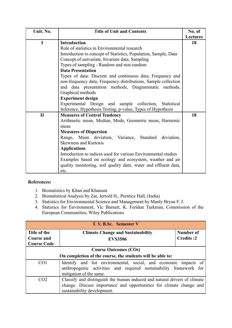| Unit. No.    | <b>Title of Unit and Contents</b>                               | No. of          |
|--------------|-----------------------------------------------------------------|-----------------|
|              |                                                                 | <b>Lectures</b> |
| $\mathbf I$  | <b>Introduction</b>                                             | 18              |
|              | Role of statistics in Environmental research                    |                 |
|              | Introduction to concept of Statistics, Population, Sample, Data |                 |
|              | Concept of univariate, bivariate data, Sampling                 |                 |
|              | Types of sampling - Random and non-random                       |                 |
|              | <b>Data Presentation</b>                                        |                 |
|              | Types of data: Discrete and continuous data, Frequency and      |                 |
|              | non-frequency data, Frequency distributions, Sample collection  |                 |
|              | and data presentation methods, Diagrammatic methods,            |                 |
|              | Graphical methods                                               |                 |
|              | <b>Experiment design</b>                                        |                 |
|              | Experimental Design and sample collection, Statistical          |                 |
|              | Inference, Hypothesis Testing, p-value, Types of Hypothesis     |                 |
| $\mathbf{I}$ | <b>Measures of Central Tendency</b>                             | 18              |
|              | Arithmetic mean, Median, Mode, Geometric mean, Harmonic         |                 |
|              | mean                                                            |                 |
|              | <b>Measures of Dispersion</b>                                   |                 |
|              | Range, Mean deviation, Variance, Standard<br>deviation,         |                 |
|              | <b>Skewness and Kurtosis</b>                                    |                 |
|              | <b>Applications</b>                                             |                 |
|              | Introduction to indices used for various Environmental studies  |                 |
|              | Examples based on ecology and ecosystem, weather and air        |                 |
|              | quality monitoring, soil quality data, water and effluent data, |                 |
|              | etc.                                                            |                 |

- 1. Biostatistics by Khan and Khanum
- 2. Biostatistical Analysis by Zar, Jerrold H., Prentice Hall, (India)
- 3. Statistics for Environmental Science and Management by Manly Bryan F. J.
- 4. Statistics for Environment, Vic Barnett, K. Feridun Turkman, Commission of the European Communities, Wiley Publications

| T. Y. B.Sc. Semester V |                                                                                               |                  |  |
|------------------------|-----------------------------------------------------------------------------------------------|------------------|--|
| Title of the           | <b>Climate Change and Sustainability</b>                                                      | Number of        |  |
| <b>Course and</b>      | <b>EVS3506</b>                                                                                | <b>Credits:2</b> |  |
| <b>Course Code</b>     |                                                                                               |                  |  |
|                        | <b>Course Outcomes (COs)</b>                                                                  |                  |  |
|                        | On completion of the course, the students will be able to:                                    |                  |  |
| CO <sub>1</sub>        | Identify and list environmental, social, and economic impacts of                              |                  |  |
|                        | anthropogenic activities and required sustainability framework for<br>mitigation of the same. |                  |  |
| CO <sub>2</sub>        | Classify and distinguish the human induced and natural drivers of climate                     |                  |  |
|                        | change. Discuss importance and opportunities for climate change and                           |                  |  |
|                        | sustainability development.                                                                   |                  |  |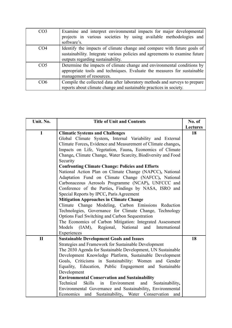| CO <sub>3</sub> | Examine and interpret environmental impacts for major developmental<br>projects in various societies by using available methodologies and<br>software's.                                    |
|-----------------|---------------------------------------------------------------------------------------------------------------------------------------------------------------------------------------------|
| CO <sub>4</sub> | Identify the impacts of climate change and compare with future goals of<br>sustainability. Integrate various policies and agreements to examine future<br>outputs regarding sustainability. |
| CO <sub>5</sub> | Determine the impacts of climate change and environmental conditions by<br>appropriate tools and techniques. Evaluate the measures for sustainable<br>management of resources.              |
| C <sub>O6</sub> | Compile the collected data after laboratory methods and surveys to prepare<br>reports about climate change and sustainable practices in society.                                            |

| Unit. No.    | <b>Title of Unit and Contents</b>                                         | No. of   |
|--------------|---------------------------------------------------------------------------|----------|
|              |                                                                           | Lectures |
| $\mathbf I$  | <b>Climatic Systems and Challenges</b>                                    | 18       |
|              | Global Climate System, Internal Variability and External                  |          |
|              | Climate Forces, Evidence and Measurement of Climate changes,              |          |
|              | Impacts on Life, Vegetation, Fauna, Economics of Climate                  |          |
|              | Change, Climate Change, Water Scarcity, Biodiversity and Food             |          |
|              | Security                                                                  |          |
|              | <b>Confronting Climate Change: Policies and Efforts</b>                   |          |
|              | National Action Plan on Climate Change (NAPCC), National                  |          |
|              | Adaptation Fund on Climate Change (NAFCC), National                       |          |
|              | Carbonaceous Aerosols Programme (NCAP), UNFCCC and                        |          |
|              | Conference of the Parties, Findings by NASA, ISRO and                     |          |
|              | Special Reports by IPCC, Paris Agreement                                  |          |
|              | <b>Mitigation Approaches in Climate Change</b>                            |          |
|              | Climate Change Modeling, Carbon Emissions Reduction                       |          |
|              | Technologies, Governance for Climate Change, Technology                   |          |
|              | Options Fuel Switching and Carbon Sequestration                           |          |
|              | The Economics of Carbon Mitigation: Integrated Assessment                 |          |
|              | Models<br>(IAM), Regional, National<br>and International                  |          |
|              | Experiences                                                               |          |
| $\mathbf{I}$ | <b>Sustainable Development Goals and Issues</b>                           | 18       |
|              | Strategies and Framework for Sustainable Development                      |          |
|              | The 2030 Agenda for Sustainable Development, UN Sustainable               |          |
|              | Development Knowledge Platform, Sustainable Development                   |          |
|              | Goals, Criticisms in Sustainability: Women and Gender                     |          |
|              | Equality, Education, Public Engagement and Sustainable                    |          |
|              | Development                                                               |          |
|              | <b>Environmental Conservation and Sustainability</b>                      |          |
|              | Technical<br><b>Skills</b><br>in<br>Environment<br>and<br>Sustainability, |          |
|              | Environmental Governance and Sustainability, Environmental                |          |
|              | and Sustainability, Water Conservation<br>Economics<br>and                |          |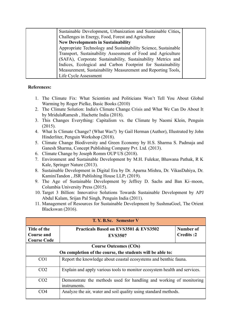| Sustainable Development, Urbanization and Sustainable Cities,  |  |
|----------------------------------------------------------------|--|
| Challenges in Energy, Food, Forest and Agriculture             |  |
| <b>New Developments in Sustainability</b>                      |  |
| Appropriate Technology and Sustainability Science, Sustainable |  |
| Transport, Sustainability Assessment of Food and Agriculture   |  |
| (SAFA), Corporate Sustainability, Sustainability Metrics and   |  |
| Indices, Ecological and Carbon Footprint for Sustainability    |  |
| Measurement, Sustainability Measurement and Reporting Tools,   |  |
| Life Cycle Assessment                                          |  |

- 1. The Climate Fix: What Scientists and Politicians Won't Tell You About Global Warming by Roger Pielke, Basic Books (2010)
- 2. The Climate Solution: India's Climate Change Crisis and What We Can Do About It by MridulaRamesh , Hachette India (2018).
- 3. This Changes Everything: Capitalism vs. the Climate by Naomi Klein, Penguin (2015).
- 4. What Is Climate Change? (What Was?) by Gail Herman (Author), Illustrated by John Hinderliter, Penguin Workshop (2018).
- 5. Climate Change Biodiversity and Green Economy by H.S. Sharma S. Padmaja and Ganesh Sharma, Concept Publishing Company Pvt. Ltd. (2013).
- 6. Climate Change by Joseph Romm OUP US (2018).
- 7. Environment and Sustainable Development by M.H. Fulekar, Bhawana Pathak, R K Kale, Springer Nature (2013).
- 8. Sustainable Development in Digital Era by Dr. Aparna Mishra, Dr. VikasDahiya, Dr. KaminiTandon , JSR Publishing House LLP; (2019).
- 9. The Age of Sustainable Development by Jeffrey D. Sachs and Ban Ki–moon, Columbia University Press (2015).
- 10. Target 3 Billion: Innovative Solutions Towards Sustainable Development by APJ Abdul Kalam, Srijan Pal Singh, Penguin India (2011).
- 11. Management of Resources for Sustainable Development by SushmaGoel, The Orient Blackswan (2016).

| T. Y. B.Sc. Semester V                                     |                                                                                     |                  |
|------------------------------------------------------------|-------------------------------------------------------------------------------------|------------------|
| Title of the                                               | Practicals Based on EVS3501 & EVS3502                                               | Number of        |
| Course and                                                 | <b>EVS3507</b>                                                                      | <b>Credits:2</b> |
| <b>Course Code</b>                                         |                                                                                     |                  |
|                                                            | <b>Course Outcomes (COs)</b>                                                        |                  |
| On completion of the course, the students will be able to: |                                                                                     |                  |
| CO <sub>1</sub>                                            | Report the knowledge about coastal ecosystems and benthic fauna.                    |                  |
| CO <sub>2</sub>                                            | Explain and apply various tools to monitor ecosystem health and services.           |                  |
| CO <sub>2</sub>                                            | Demonstrate the methods used for handling and working of monitoring<br>instruments. |                  |
| CO4                                                        | Analyze the air, water and soil quality using standard methods.                     |                  |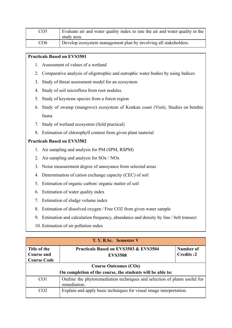| CO <sub>5</sub> | Evaluate air and water quality index to rate the air and water quality in the<br>study area. |
|-----------------|----------------------------------------------------------------------------------------------|
| CO <sub>6</sub> | Develop ecosystem management plan by involving all stakeholders.                             |

- 1. Assessment of values of a wetland
- 2. Comparative analysis of oligotrophic and eutrophic water bodies by using Indices
- 3. Study of threat assessment model for an ecosystem
- 4. Study of soil microflora from root nodules
- 5. Study of keystone species from a forest region
- 6. Study of swamp (mangrove) ecosystem of Konkan coast (Visit), Studies on benthic fauna
- 7. Study of wetland ecosystem (field practical)
- 8. Estimation of chlorophyll content from given plant material

- 1. Air sampling and analysis for PM (SPM, RSPM)
- 2. Air sampling and analysis for SOx / NOx
- 3. Noise measurement degree of annoyance from selected areas
- 4. Determination of cation exchange capacity (CEC) of soil
- 5. Estimation of organic carbon/ organic matter of soil
- 6. Estimation of water quality index
- 7. Estimation of sludge volume index
- 8. Estimation of dissolved oxygen / Free CO2 from given water sample
- 9. Estimation and calculation frequency, abundance and density by line / belt transect
- 10. Estimation of air pollution index

| T. Y. B.Sc. Semester V                                  |                                                                                            |                               |
|---------------------------------------------------------|--------------------------------------------------------------------------------------------|-------------------------------|
| Title of the<br><b>Course and</b><br><b>Course Code</b> | Practicals Based on EVS3503 & EVS3504<br><b>EVS3508</b>                                    | Number of<br><b>Credits:2</b> |
|                                                         | <b>Course Outcomes (COs)</b>                                                               |                               |
|                                                         | On completion of the course, the students will be able to:                                 |                               |
| CO <sub>1</sub>                                         | Outline the phytoremediation techniques and selection of plants useful for<br>remediation. |                               |
| CO <sub>2</sub>                                         | Explain and apply basic techniques for visual image interpretation.                        |                               |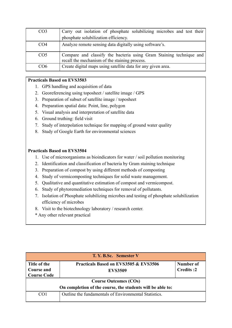| CO <sub>3</sub> | Carry out isolation of phosphate solubilizing microbes and test their                                                |
|-----------------|----------------------------------------------------------------------------------------------------------------------|
|                 | phosphate solubilization efficiency.                                                                                 |
| CO <sub>4</sub> | Analyze remote sensing data digitally using software's.                                                              |
| CO <sub>5</sub> | Compare and classify the bacteria using Gram Staining technique and<br>recall the mechanism of the staining process. |
| CO <sub>6</sub> | Create digital maps using satellite data for any given area.                                                         |

- 1. GPS handling and acquisition of data
- 2. Georeferencing using toposheet / satellite image / GPS
- 3. Preparation of subset of satellite image / toposheet
- 4. Preparation spatial data: Point, line, polygon
- 5. Visual analysis and interpretation of satellite data
- 6. Ground truthing: field visit
- 7. Study of interpolation technique for mapping of ground water quality
- 8. Study of Google Earth for environmental sciences

- 1. Use of microorganisms as bioindicators for water / soil pollution monitoring
- 2. Identification and classification of bacteria by Gram staining technique
- 3. Preparation of compost by using different methods of composting
- 4. Study of vermicomposting techniques for solid waste management.
- 5. Qualitative and quantitative estimation of compost and vermicompost.
- 6. Study of phytoremediation techniques for removal of pollutants.
- 7. Isolation of Phosphate solubilizing microbes and testing of phosphate solubilization efficiency of microbes
- 8. Visit to the biotechnology laboratory / research center.
- \* Any other relevant practical

| T. Y. B.Sc. Semester V                                     |                                                       |                  |
|------------------------------------------------------------|-------------------------------------------------------|------------------|
| Title of the                                               | Practicals Based on EVS3505 & EVS3506                 | Number of        |
| <b>Course and</b>                                          | <b>EVS3509</b>                                        | <b>Credits:2</b> |
| <b>Course Code</b>                                         |                                                       |                  |
| <b>Course Outcomes (COs)</b>                               |                                                       |                  |
| On completion of the course, the students will be able to: |                                                       |                  |
| CO1                                                        | Outline the fundamentals of Environmental Statistics. |                  |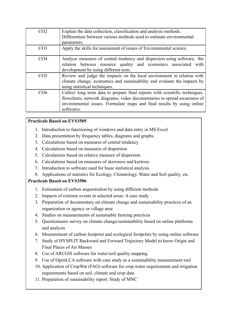| CO <sub>2</sub> | Explain the data collection, classification and analysis methods.<br>Differentiate between various methods used to estimate environmental<br>parameters.                                                                                        |
|-----------------|-------------------------------------------------------------------------------------------------------------------------------------------------------------------------------------------------------------------------------------------------|
| CO <sub>3</sub> | Apply the skills for assessment of issues of Environmental science.                                                                                                                                                                             |
| CO <sub>4</sub> | Analyze measures of central tendency and dispersion using software, the<br>relation between resource quality and economics associated with<br>development by using different tests.                                                             |
| CO <sub>5</sub> | Review and judge the impacts on the local environment in relation with<br>climate change, economics and sustainability and evaluate the impacts by<br>using statistical techniques.                                                             |
| CO6             | Collect long term data to prepare final reports with scientific techniques.<br>flowcharts, network diagrams, video documentaries to spread awareness of<br>environmental issues. Formulate maps and final results by using online<br>softwares. |

- 1. Introduction to functioning of windows and data entry in MS Excel
- 2. Data presentation by frequency tables, diagrams and graphs.
- 3. Calculations based on measures of central tendency
- 4. Calculations based on measures of dispersion
- 5. Calculations based on relative measure of dispersion
- 6. Calculations based on measures of skewness and kurtosis
- 7. Introduction to software used for basic statistical analysis
- 8. Applications of statistics for Ecology, Climatology, Water and Soil quality, etc.

- 1. Estimation of carbon sequestration by using different methods
- 2. Impacts of extreme events in selected areas: A case study
- 3. Preparation of documentary on climate change and sustainability practices of an organization or agency or village area
- 4. Studies on measurements of sustainable farming practices
- 5. Questionnaire survey on climate change/sustainability based on online platforms and analysis
- 6. Measurement of carbon footprint and ecological footprints by using online software
- 7. Study of HYSPLIT Backward and Forward Trajectory Model to know Origin and Final Places of Air Masses
- 8. Use of ARCGIS software for water/soil quality mapping
- 9. Use of OpenLCA software with case study as a sustainability measurement tool
- 10. Application of CropWat (FAO) software for crop water requirements and irrigation requirements based on soil, climate and crop data
- 11. Preparation of sustainability report: Study of MNC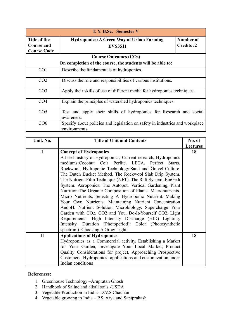| T. Y. B.Sc. Semester V                                  |                                                                                               |                               |
|---------------------------------------------------------|-----------------------------------------------------------------------------------------------|-------------------------------|
| Title of the<br><b>Course and</b><br><b>Course Code</b> | <b>Hydroponics: A Green Way of Urban Farming</b><br><b>EVS3511</b>                            | Number of<br><b>Credits:2</b> |
|                                                         | <b>Course Outcomes (COs)</b>                                                                  |                               |
|                                                         | On completion of the course, the students will be able to:                                    |                               |
| CO <sub>1</sub>                                         | Describe the fundamentals of hydroponics.                                                     |                               |
| CO <sub>2</sub>                                         | Discuss the role and responsibilities of various institutions.                                |                               |
| CO <sub>3</sub>                                         | Apply their skills of use of different media for hydroponics techniques.                      |                               |
| CO <sub>4</sub>                                         | Explain the principles of watershed hydroponics techniques.                                   |                               |
| CO <sub>5</sub>                                         | Test and apply their skills of hydroponics for Research and social<br>awareness.              |                               |
| CO6                                                     | Specify about policies and legislation on safety in industries and workplace<br>environments. |                               |

| Unit. No.    | <b>Title of Unit and Contents</b>                             | No. of          |
|--------------|---------------------------------------------------------------|-----------------|
|              |                                                               | <b>Lectures</b> |
| I            | <b>Concept of Hydroponics</b>                                 | 18              |
|              | A brief history of Hydroponics, Current research, Hydroponics |                 |
|              | mediums:Coconut Coir Perlite. LECA. Perfect Starts.           |                 |
|              | Rockwool, Hydroponic Technology: Sand and Gravel Culture.     |                 |
|              | The Dutch Bucket Method. The Rockwool Slab Drip System.       |                 |
|              | The Nutrient Film Technique (NFT). The Raft System. EinGedi   |                 |
|              | System. Aeroponics. The Autopot. Vertical Gardening, Plant    |                 |
|              | Nutrition: The Organic Composition of Plants. Macronutrients. |                 |
|              | Micro Nutrients. Selecting A Hydroponic Nutrient. Making      |                 |
|              | Your Own Nutrients. Maintaining Nutrient Concentration        |                 |
|              | AndpH. Nutrient Solution Microbiology. Supercharge Your       |                 |
|              | Garden with CO2. CO2 and You. Do-It-Yourself CO2, Light       |                 |
|              | Requirements: High Intensity Discharge (HID) Lighting.        |                 |
|              | Intensity. Duration (Photoperiod): Color (Photosynthetic      |                 |
|              | spectrum). Choosing A Grow Light.                             |                 |
| $\mathbf{I}$ | <b>Applications of Hydroponics</b>                            | 18              |
|              | Hydroponics as a Commercial activity, Establishing a Market   |                 |
|              | for Your Garden, Investigate Your Local Market, Product       |                 |
|              | Quality Considerations for project, Approaching Prospective   |                 |
|              | Customers, Hydroponics -applications and customization under  |                 |
|              | Indian conditions                                             |                 |

- 1. Greenhouse Technology –Arupratan Ghosh
- 2. Handbook of Saline and alkali soils -USDA
- 3. Vegetable Production in India- D.V.S.Chauhan
- 4. Vegetable growing in India P.S. Arya and Santprakash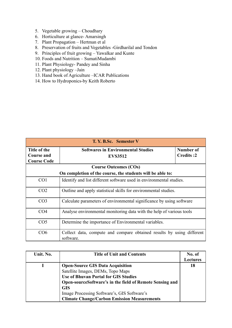- 5. Vegetable growing Choudhary
- 6. Horticulture at glance- Amarsingh
- 7. Plant Propagation Hertman et al
- 8. Preservation of fruits and Vegetables -Girdharilal and Tondon
- 9. Principles of fruit growing Yawalkar and Kunte
- 10. Foods and Nutrition SumatiMudambi
- 11. Plant Physiology- Pandey and Sinha
- 12. Plant physiology –Jain
- 13. Hand book of Agriculture –ICAR Publications
- 14. How to Hydroponics-by Keith Roberto

| T. Y. B.Sc. Semester V                                  |                                                                                    |                        |
|---------------------------------------------------------|------------------------------------------------------------------------------------|------------------------|
| Title of the<br><b>Course and</b><br><b>Course Code</b> | <b>Softwares in Environmental Studies</b><br><b>EVS3512</b>                        | Number of<br>Credits:2 |
|                                                         | <b>Course Outcomes (COs)</b>                                                       |                        |
|                                                         | On completion of the course, the students will be able to:                         |                        |
| CO <sub>1</sub>                                         | Identify and list different software used in environmental studies.                |                        |
| CO <sub>2</sub>                                         | Outline and apply statistical skills for environmental studies.                    |                        |
| CO <sub>3</sub>                                         | Calculate parameters of environmental significance by using software               |                        |
| CO <sub>4</sub>                                         | Analyse environmental monitoring data with the help of various tools               |                        |
| CO <sub>5</sub>                                         | Determine the importance of Environmental variables.                               |                        |
| CO6                                                     | Collect data, compute and compare obtained results by using different<br>software. |                        |

| Unit. No. | <b>Title of Unit and Contents</b>                        | No. of          |
|-----------|----------------------------------------------------------|-----------------|
|           |                                                          | <b>Lectures</b> |
|           | <b>Open-Source GIS Data Acquisition</b>                  | 18              |
|           | Satellite Images, DEMs, Topo Maps                        |                 |
|           | <b>Use of Bhuvan Portal for GIS Studies</b>              |                 |
|           | Open-sourceSoftware's in the field of Remote Sensing and |                 |
|           | <b>GIS</b>                                               |                 |
|           | Image Processing Software's, GIS Software's              |                 |
|           | <b>Climate Change/Carbon Emission Measurements</b>       |                 |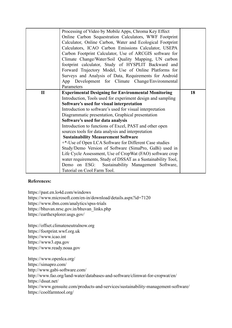|              | Processing of Video by Mobile Apps, Chroma Key Effect<br>Online Carbon Sequestration Calculators, WWF Footprint<br>Calculator, Online Carbon, Water and Ecological Footprint<br>Calculators, ICAO Carbon Emissions Calculator, USEPA<br>Carbon Footprint Calculator, Use of ARCGIS software for<br>Climate Change/Water/Soil Quality Mapping, UN carbon<br>footprint calculator, Study of HYSPLIT Backward and<br>Forward Trajectory Model, Use of Online Platforms for<br>Surveys and Analysis of Data, Requirements for Android<br>App Development for Climate Change/Environmental<br>Parameters |    |
|--------------|-----------------------------------------------------------------------------------------------------------------------------------------------------------------------------------------------------------------------------------------------------------------------------------------------------------------------------------------------------------------------------------------------------------------------------------------------------------------------------------------------------------------------------------------------------------------------------------------------------|----|
| $\mathbf{I}$ | <b>Experimental Designing for Environmental Monitoring</b>                                                                                                                                                                                                                                                                                                                                                                                                                                                                                                                                          | 18 |
|              | Introduction, Tools used for experiment design and sampling                                                                                                                                                                                                                                                                                                                                                                                                                                                                                                                                         |    |
|              | Software's used for visual interpretation                                                                                                                                                                                                                                                                                                                                                                                                                                                                                                                                                           |    |
|              | Introduction to software's used for visual interpretation                                                                                                                                                                                                                                                                                                                                                                                                                                                                                                                                           |    |
|              | Diagrammatic presentation, Graphical presentation                                                                                                                                                                                                                                                                                                                                                                                                                                                                                                                                                   |    |
|              | Software's used for data analysis                                                                                                                                                                                                                                                                                                                                                                                                                                                                                                                                                                   |    |
|              | Introduction to functions of Excel, PAST and other open                                                                                                                                                                                                                                                                                                                                                                                                                                                                                                                                             |    |
|              | sources tools for data analysis and interpretation                                                                                                                                                                                                                                                                                                                                                                                                                                                                                                                                                  |    |
|              | <b>Sustainability Measurement Software</b>                                                                                                                                                                                                                                                                                                                                                                                                                                                                                                                                                          |    |
|              | <sup>+*</sup> -Use of Open LCA Software for Different Case studies                                                                                                                                                                                                                                                                                                                                                                                                                                                                                                                                  |    |
|              | Study/Demo Version of Software (SimaPro, GaBi) used in                                                                                                                                                                                                                                                                                                                                                                                                                                                                                                                                              |    |
|              | Life Cycle Assessment, Use of CropWat (FAO) software crop                                                                                                                                                                                                                                                                                                                                                                                                                                                                                                                                           |    |
|              | water requirements, Study of DSSAT as a Sustainability Tool,                                                                                                                                                                                                                                                                                                                                                                                                                                                                                                                                        |    |
|              | Demo on ESG: Sustainability Management Software,                                                                                                                                                                                                                                                                                                                                                                                                                                                                                                                                                    |    |
|              | Tutorial on Cool Farm Tool.                                                                                                                                                                                                                                                                                                                                                                                                                                                                                                                                                                         |    |

<https://past.en.lo4d.com/windows> <https://www.microsoft.com/en-in/download/details.aspx?id=7120> <https://www.ibm.com/analytics/spss-trials> [https://bhuvan.nrsc.gov.in/bhuvan\\_links.php](https://bhuvan.nrsc.gov.in/bhuvan_links.php) <https://earthexplorer.usgs.gov/>

<https://offset.climateneutralnow.org> <https://footprint.wwf.org.uk> <https://www.icao.int> <https://www3.epa.gov> <https://www.ready.noaa.gov>

<https://www.openlca.org/> <https://simapro.com/> <http://www.gabi-software.com/> <http://www.fao.org/land-water/databases-and-software/climwat-for-cropwat/en/> <https://dssat.net/> <https://www.gensuite.com/products-and-services/sustainability-management-software/> <https://coolfarmtool.org/>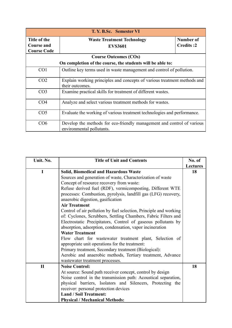| T. Y. B.Sc. Semester VI           |                                                                                                     |                               |
|-----------------------------------|-----------------------------------------------------------------------------------------------------|-------------------------------|
| Title of the<br><b>Course and</b> | <b>Waste Treatment Technology</b><br><b>EVS3601</b>                                                 | Number of<br><b>Credits:2</b> |
| <b>Course Code</b>                |                                                                                                     |                               |
|                                   | <b>Course Outcomes (COs)</b>                                                                        |                               |
|                                   | On completion of the course, the students will be able to:                                          |                               |
| CO <sub>1</sub>                   | Outline key terms used in waste management and control of pollution.                                |                               |
| CO <sub>2</sub>                   | Explain working principles and concepts of various treatment methods and<br>their outcomes.         |                               |
| CO <sub>3</sub>                   | Examine practical skills for treatment of different wastes.                                         |                               |
| CO <sub>4</sub>                   | Analyze and select various treatment methods for wastes.                                            |                               |
| CO <sub>5</sub>                   | Evaluate the working of various treatment technologies and performance.                             |                               |
| CO6                               | Develop the methods for eco-friendly management and control of various<br>environmental pollutants. |                               |

| Unit. No.    | <b>Title of Unit and Contents</b>                                 | No. of          |
|--------------|-------------------------------------------------------------------|-----------------|
|              |                                                                   | <b>Lectures</b> |
| $\mathbf I$  | <b>Solid, Biomedical and Hazardous Waste</b>                      | 18              |
|              | Sources and generation of waste, Characterization of waste        |                 |
|              | Concept of resource recovery from waste:                          |                 |
|              | Refuse derived fuel (RDF), vermicomposting, Different WTE         |                 |
|              | processes: Combustion, pyrolysis, landfill gas (LFG) recovery,    |                 |
|              | anaerobic digestion, gasification                                 |                 |
|              | <b>Air Treatment</b>                                              |                 |
|              | Control of air pollution by fuel selection, Principle and working |                 |
|              | of: Cyclones, Scrubbers, Settling Chambers, Fabric Filters and    |                 |
|              | Electrostatic Precipitators, Control of gaseous pollutants by     |                 |
|              | absorption, adsorption, condensation, vapor incineration          |                 |
|              | <b>Water Treatment</b>                                            |                 |
|              | Flow chart for wastewater treatment plant, Selection of           |                 |
|              | appropriate unit operations for the treatment:                    |                 |
|              | Primary treatment, Secondary treatment (Biological):              |                 |
|              | Aerobic and anaerobic methods, Tertiary treatment, Advance        |                 |
|              | wastewater treatment processes.                                   |                 |
| $\mathbf{I}$ | <b>Noise Control:</b>                                             | 18              |
|              | At source: Sound path receiver concept, control by design         |                 |
|              | Noise control in the transmission path: Acoustical separation,    |                 |
|              | physical barriers, Isolators and Silencers, Protecting the        |                 |
|              | receiver: personal protection devices                             |                 |
|              | <b>Land / Soil Treatment:</b>                                     |                 |
|              | <b>Physical / Mechanical Methods:</b>                             |                 |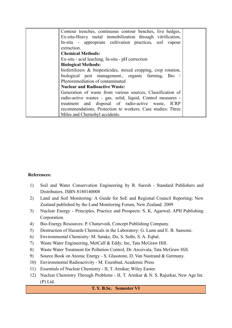| Contour trenches, continuous contour benches, live hedges,     |  |
|----------------------------------------------------------------|--|
| Ex-situ-Heavy metal immobilization through vitrification,      |  |
| In-situ - appropriate cultivation practices, soil vapour       |  |
| extraction.                                                    |  |
| <b>Chemical Methods:</b>                                       |  |
| Ex-situ - acid leaching, In-situ - pH correction               |  |
| <b>Biological Methods:</b>                                     |  |
| biofertilizers & biopesticides, mixed cropping, crop rotation, |  |
| biological pest management., organic farming, Bio /            |  |
| Phytoremediation of contaminated                               |  |
| <b>Nuclear and Radioactive Waste:</b>                          |  |
| Generation of waste from various sources, Classification of    |  |
| radio-active wastes - gas, solid, liquid, Control measures -   |  |
| treatment and disposal of radio-active waste, ICRP             |  |
| recommendations, Protection to workers, Case studies: Three    |  |
| Miles and Chernobyl accidents.                                 |  |

- 1) Soil and Water Conservation Engineering by R. Suresh Standard Publishers and Distributors. ISBN 8180140008
- 2) Land and Soil Monitoring: A Guide for SoE and Regional Council Reporting; New Zealand published by the Land Monitoring Forum, New Zealand. 2009
- 3) Nuclear Energy Principles, Practice and Prospects: S. K. Agarwal; APH Publishing Corporation.
- 4) Bio-Energy Resources: P. Chaturvedi, Concept Publishing Company.
- 5) Destruction of Hazards Chemicals in the Laboratory: G. Lunn and E. B. Sansone.
- 6) Environmental Chemistry: M. Satake, Do, S. Sethi, S. A. Eqbal.
- 7) Waste Water Engineering, MetCalf & Eddy; Inc, Tata McGraw Hill.
- 8) Waste Water Treatment for Pollution Control, Dr. Arceivala, Tata McGraw Hill.
- 9) Source Book on Atomic Energy S. Glasstone, D. Van Nastrand & Germany.
- 10) Environmental Radioactivity M. Eisenbud, Academic Press
- 11) Essentials of Nuclear Chemistry II, T. Arnikar, Wiley Easter.
- 12) Nuclear Chemistry Through Problems II, T. Arnikar & N. S. Rajurkar, New Age Int. (P) Ltd.

#### **T. Y. B.Sc. Semester VI**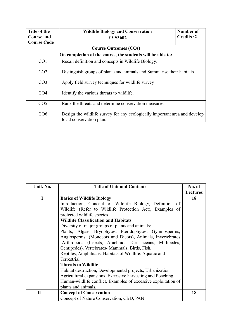| Title of the<br><b>Course and</b> | <b>Wildlife Biology and Conservation</b><br><b>EVS3602</b>                                             | Number of<br><b>Credits:2</b> |
|-----------------------------------|--------------------------------------------------------------------------------------------------------|-------------------------------|
| <b>Course Code</b>                |                                                                                                        |                               |
|                                   | <b>Course Outcomes (COs)</b>                                                                           |                               |
|                                   | On completion of the course, the students will be able to:                                             |                               |
| CO <sub>1</sub>                   | Recall definition and concepts in Wildlife Biology.                                                    |                               |
| CO <sub>2</sub>                   | Distinguish groups of plants and animals and Summarise their habitats                                  |                               |
| CO <sub>3</sub>                   | Apply field survey techniques for wildlife survey                                                      |                               |
| CO <sub>4</sub>                   | Identify the various threats to wildlife.                                                              |                               |
| CO <sub>5</sub>                   | Rank the threats and determine conservation measures.                                                  |                               |
| CO6                               | Design the wildlife survey for any ecologically important area and develop<br>local conservation plan. |                               |

| Unit. No.    | <b>Title of Unit and Contents</b>                              | No. of          |
|--------------|----------------------------------------------------------------|-----------------|
|              |                                                                | <b>Lectures</b> |
| I            | <b>Basics of Wildlife Biology</b>                              | 18              |
|              | Introduction, Concept of Wildlife Biology, Definition of       |                 |
|              | Wildlife (Refer to Wildlife Protection Act), Examples of       |                 |
|              | protected wildlife species                                     |                 |
|              | <b>Wildlife Classification and Habitats</b>                    |                 |
|              | Diversity of major groups of plants and animals:               |                 |
|              | Plants, Algae, Bryophytes, Pteridophytes, Gymnosperms,         |                 |
|              | Angiosperms, (Monocots and Dicots), Animals, Invertebrates     |                 |
|              | -Arthropods (Insects, Arachnids, Crustaceans, Millipedes,      |                 |
|              | Centipedes). Vertebrates-Mammals, Birds, Fish,                 |                 |
|              | Reptiles, Amphibians, Habitats of Wildlife: Aquatic and        |                 |
|              | Terrestrial                                                    |                 |
|              | <b>Threats to Wildlife</b>                                     |                 |
|              | Habitat destruction, Developmental projects, Urbanization      |                 |
|              | Agricultural expansions, Excessive harvesting and Poaching     |                 |
|              | Human-wildlife conflict, Examples of excessive exploitation of |                 |
|              | plants and animals.                                            |                 |
| $\mathbf{I}$ | <b>Concept of Conservation</b>                                 | 18              |
|              | Concept of Nature Conservation, CBD, PAN                       |                 |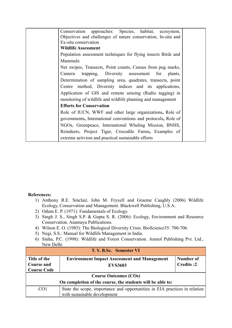| Conservation approaches: Species, habitat, ecosystem,         |  |
|---------------------------------------------------------------|--|
| Objectives and challenges of nature conservation, In-situ and |  |
| Ex-situ conservation                                          |  |
| <b>Wildlife Assessment</b>                                    |  |
| Population assessment techniques for flying insects Birds and |  |
| Mammals:                                                      |  |
| Net swipes, Transects, Point counts, Census from pug marks,   |  |
| trapping, Diversity assessment for<br>Camera<br>plants,       |  |
| Determination of sampling area, quadrates, transects, point   |  |
| Centre method, Diversity indices and its applications,        |  |
| Application of GIS and remote sensing (Radio tagging) in      |  |
| monitoring of wildlife and wildlife planning and management   |  |
| <b>Efforts for Conservation</b>                               |  |
| Role of IUCN, WWF and other large organizations, Role of      |  |
| governments, International conventions and protocols, Role of |  |
| NGOs, Greenpeace, International Whaling Mission, BNHS,        |  |
| Reindeers, Project Tiger, Crocodile Farms, Examples of        |  |
| extreme activism and practical sustainable efforts            |  |

- 1) Anthony R.E. Sinclair, John M. Fryxell and Graeme Caughly (2006) Wildlife Ecology, Conservation and Management. Blackwell Publishing, U.S.A.
- 2) Odum E. P. (1971): Fundamentals of Ecology.
- 3) Singh J. S., Singh S.P. & Gupta S. R. (2006): Ecology, Environment and Resource Conservation. Anamaya Publications.
- 4) Wilson E. O. (1985): The Biological Diversity Crisis. BioScience35: 700-706.
- 5) Negi, S.S.: Manual for Wildlife Management in India.
- 6) Sinha, P.C. (1998): Wildlife and Forest Conservation. Anmol Publishing Pvt. Ltd., New Delhi

| T. Y. B.Sc. Semester VI                                    |                                                                                                            |                               |
|------------------------------------------------------------|------------------------------------------------------------------------------------------------------------|-------------------------------|
| Title of the<br><b>Course and</b>                          | <b>Environment Impact Assessment and Management</b>                                                        | Number of<br><b>Credits:2</b> |
| <b>Course Code</b>                                         | <b>EVS3603</b>                                                                                             |                               |
| <b>Course Outcomes (COs)</b>                               |                                                                                                            |                               |
| On completion of the course, the students will be able to: |                                                                                                            |                               |
| CO <sub>1</sub>                                            | State the scope, importance and opportunities in EIA practices in relation<br>with sustainable development |                               |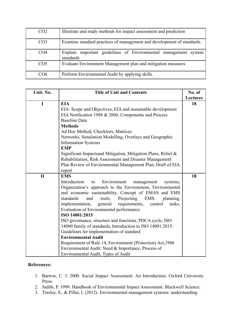| CO <sub>2</sub> | Illustrate and study methods for impact assessment and prediction            |
|-----------------|------------------------------------------------------------------------------|
| CO <sub>3</sub> | Examine standard practices of management and development of standards.       |
| CO <sub>4</sub> | Explain important guidelines of Environmental management system<br>standards |
| CO <sub>5</sub> | Evaluate Environment Management plan and mitigation measures                 |
| CO6             | Perform Environmental Audit by applying skills.                              |

| Unit. No.    | <b>Title of Unit and Contents</b>                                                                                                                                                                                                                                                                                                                                                                                                                                                                                                                                                                                                                                                                                                                                | No. of          |
|--------------|------------------------------------------------------------------------------------------------------------------------------------------------------------------------------------------------------------------------------------------------------------------------------------------------------------------------------------------------------------------------------------------------------------------------------------------------------------------------------------------------------------------------------------------------------------------------------------------------------------------------------------------------------------------------------------------------------------------------------------------------------------------|-----------------|
|              |                                                                                                                                                                                                                                                                                                                                                                                                                                                                                                                                                                                                                                                                                                                                                                  | <b>Lectures</b> |
| I            | <b>EIA</b><br>EIA: Scope and Objectives, EIA and sustainable development<br>EIA Notification 1994 & 2006, Components and Process<br><b>Baseline Data</b><br><b>Methods</b><br>Ad Hoc Method, Checklists, Matrices<br>Networks, Simulation Modelling, Overlays and Geographic<br><b>Information Systems</b><br><b>EMP</b><br>Significant Impactsand Mitigation, Mitigation Plans, Relief &<br>Rehabilitation, Risk Assessment and Disaster Management<br>Plan Review of Environmental Management Plan, Draft of EIA<br>report                                                                                                                                                                                                                                     | 18              |
| $\mathbf{I}$ | <b>EMS</b><br>Introduction<br>Environment<br>to<br>management<br>systems,<br>Organization's approach to the Environment, Environmental<br>and economic sustainability, Concept of EMAS and EMS<br>standards<br>tools,<br>Projecting<br>EMS:<br>planning,<br>and<br>implementation,<br>general<br>requirements,<br>control<br>tasks,<br>Evaluation of Environmental performance<br>ISO 14001:2015<br>ISO governance, structure and functions, PDCA cycle, ISO<br>14000 family of standards, Introduction to ISO 14001:2015:<br>Guidelines for implementation of standard<br><b>Environmental Audit</b><br>Requirement of Rule 14, Environment (Protection) Act, 1986<br>Environmental Audit: Need & Importance, Process of<br>Environmental Audit, Types of Audit | 18              |

- 1. Barrow, C. J. 2000. Social Impact Assessment: An Introduction. Oxford University Press.
- 2. Judith, P. 1999. Handbook of Environmental Impact Assessment. Blackwell Science.
- 3. Tinsley, S., & Pillai, I. (2012). Environmental management systems: understanding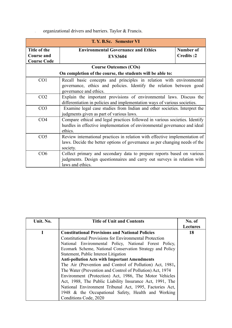4. organizational drivers and barriers. Taylor & Francis.

| T. Y. B.Sc. Semester VI           |                                                                                                                                                                       |                               |
|-----------------------------------|-----------------------------------------------------------------------------------------------------------------------------------------------------------------------|-------------------------------|
| Title of the<br><b>Course and</b> | <b>Environmental Governance and Ethics</b><br><b>EVS3604</b>                                                                                                          | Number of<br><b>Credits:2</b> |
| <b>Course Code</b>                |                                                                                                                                                                       |                               |
|                                   | <b>Course Outcomes (COs)</b>                                                                                                                                          |                               |
|                                   | On completion of the course, the students will be able to:                                                                                                            |                               |
| CO <sub>1</sub>                   | Recall basic concepts and principles in relation with environmental<br>governance, ethics and policies. Identify the relation between good<br>governance and ethics.  |                               |
| CO <sub>2</sub>                   | Explain the important provisions of environmental laws. Discuss the<br>differentiation in policies and implementation ways of various societies.                      |                               |
| CO <sub>3</sub>                   | Examine legal case studies from Indian and other societies. Interpret the<br>judgments given as part of various laws.                                                 |                               |
| CO <sub>4</sub>                   | Compare ethical and legal practices followed in various societies. Identify<br>hurdles in effective implementation of environmental governance and ideal<br>ethics.   |                               |
| CO <sub>5</sub>                   | Review international practices in relation with effective implementation of<br>laws. Decide the better options of governance as per changing needs of the<br>society. |                               |
| CO6                               | Collect primary and secondary data to prepare reports based on various<br>judgments. Design questionnaires and carry out surveys in relation with<br>laws and ethics. |                               |

| Unit. No. | <b>Title of Unit and Contents</b>                             | No. of          |
|-----------|---------------------------------------------------------------|-----------------|
|           |                                                               | <b>Lectures</b> |
|           | <b>Constitutional Provisions and National Policies</b>        | 18              |
|           | <b>Constitutional Provisions for Environmental Protection</b> |                 |
|           | National Environmental Policy, National Forest Policy,        |                 |
|           | Ecomark Scheme, National Conservation Strategy and Policy     |                 |
|           | Statement, Public Interest Litigation                         |                 |
|           | <b>Anti-pollution Acts with Important Amendments</b>          |                 |
|           | The Air (Prevention and Control of Pollution) Act, 1981,      |                 |
|           | The Water (Prevention and Control of Pollution) Act, 1974     |                 |
|           | Environment (Protection) Act, 1986, The Motor Vehicles        |                 |
|           | Act, 1988, The Public Liability Insurance Act, 1991, The      |                 |
|           | National Environment Tribunal Act, 1995, Factories Act,       |                 |
|           | 1948 & the Occupational Safety, Health and Working            |                 |
|           | Conditions Code, 2020                                         |                 |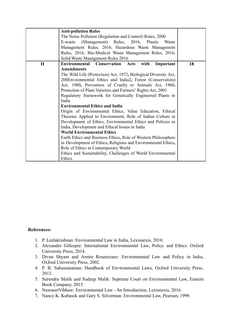|              | <b>Anti-pollution Rules</b>                                     |    |
|--------------|-----------------------------------------------------------------|----|
|              | The Noise Pollution (Regulation and Control) Rules, 2000        |    |
|              | (Management) Rules, 2016, Plastic<br>E-waste<br>Waste           |    |
|              | Management Rules, 2016, Hazardous Waste Management              |    |
|              | Rules, 2016, Bio-Medical Waste Management Rules, 2016,          |    |
|              | Solid Waste Management Rules 2016                               |    |
| $\mathbf{I}$ | Environmental<br><b>Conservation Acts</b><br>with<br>Important  | 18 |
|              | <b>Amendments</b>                                               |    |
|              | The Wild Life (Protection) Act, 1972, Biological Diversity Act, |    |
|              | 200Environmental Ethics and India2, Forest (Conservation)       |    |
|              | Act, 1980, Prevention of Cruelty to Animals Act, 1960,          |    |
|              | Protection of Plant Varieties and Farmers' Rights Act, 2001     |    |
|              | Regulatory framework for Genetically Engineered Plants in       |    |
|              | India                                                           |    |
|              | <b>Environmental Ethics and India</b>                           |    |
|              | Origin of Environmental Ethics, Value Education, Ethical        |    |
|              | Theories Applied to Environment, Role of Indian Culture in      |    |
|              | Development of Ethics, Environmental Ethics and Policies in     |    |
|              | India, Development and Ethical Issues in India                  |    |
|              | <b>World Environmental Ethics</b>                               |    |
|              | Earth Ethics and Business Ethics, Role of Western Philosophers  |    |
|              | in Development of Ethics, Religions and Environmental Ethics,   |    |
|              | Role of Ethics in Contemporary World                            |    |
|              | Ethics and Sustainability, Challenges of World Environmental    |    |
|              | Ethics                                                          |    |

- 1. P. Leelakrishnan: Environmental Law in India, Lexisnexis, 2010.
- 2. Alexander Gillespie: International Environmental Law, Policy and Ethics. Oxford University Press, 2014.
- 3. Divan Shyam and Armin Rosencranz: Environmental Law and Policy in India, Oxford University Press, 2002.
- 4. P. B. Sahasranaman: Handbook of Environmental Laws, Oxford University Press, 2012.
- 5. Surendra Malik and Sudeep Malik: Supreme Court on Environmental Law, Eastern Book Company, 2015.
- 6. NawneetVibhaw: Environmental Law An Introduction, Lexisnexis, 2016.
- 7. Nancy K. Kubasek and Gary S. Silverman: Environmental Law, Pearson, 1999.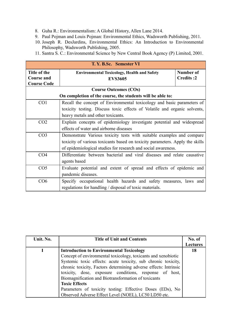- 8. Guha R.: Environmentalism: A Global History, Allen Lane 2014.
- 9. Paul Pojman and Louis Pojman: Environmental Ethics, Wadsworth Publishing, 2011.
- 10. Joseph R. DesJardins, Environmental Ethics: An Introduction to Environmental Philosophy, Wadsworth Publishing, 2005.
- 11. Santra S. C.: Environmental Science by New Central Book Agency (P) Limited, 2001.

| T. Y. B.Sc. Semester VI                                    |                                                                              |                               |  |
|------------------------------------------------------------|------------------------------------------------------------------------------|-------------------------------|--|
| Title of the<br><b>Course and</b><br><b>Course Code</b>    | <b>Environmental Toxicology, Health and Safety</b><br><b>EVS3605</b>         | Number of<br><b>Credits:2</b> |  |
|                                                            | <b>Course Outcomes (COs)</b>                                                 |                               |  |
| On completion of the course, the students will be able to: |                                                                              |                               |  |
| CO <sub>1</sub>                                            | Recall the concept of Environmental toxicology and basic parameters of       |                               |  |
|                                                            | toxicity testing. Discuss toxic effects of Volatile and organic solvents,    |                               |  |
|                                                            | heavy metals and other toxicants.                                            |                               |  |
| CO <sub>2</sub>                                            | Explain concepts of epidemiology investigate potential and widespread        |                               |  |
|                                                            | effects of water and airborne diseases                                       |                               |  |
| CO <sub>3</sub>                                            | Demonstrate Various toxicity tests with suitable examples and compare        |                               |  |
|                                                            | toxicity of various toxicants based on toxicity parameters. Apply the skills |                               |  |
|                                                            | of epidemiological studies for research and social awareness.                |                               |  |
| CO <sub>4</sub>                                            | Differentiate between bacterial and viral diseases and relate causative      |                               |  |
|                                                            | agents based                                                                 |                               |  |
| CO <sub>5</sub>                                            | Evaluate potential and extent of spread and effects of epidemic and          |                               |  |
|                                                            | pandemic diseases.                                                           |                               |  |
| CO6                                                        | Specify occupational health hazards and safety measures, laws and            |                               |  |
|                                                            | regulations for handling / disposal of toxic materials.                      |                               |  |

| Unit. No. | <b>Title of Unit and Contents</b>                                | No. of          |
|-----------|------------------------------------------------------------------|-----------------|
|           |                                                                  | <b>Lectures</b> |
|           | <b>Introduction to Environmental Toxicology</b>                  | 18              |
|           | Concept of environmental toxicology, toxicants and xenobiotic    |                 |
|           | Systemic toxic effects: acute toxicity, sub chronic toxicity,    |                 |
|           | chronic toxicity, Factors determining adverse effects: Intrinsic |                 |
|           | toxicity, dose, exposure conditions, response of host,           |                 |
|           | Biomagnification and Biotransformation of toxicants              |                 |
|           | <b>Toxic Effects</b>                                             |                 |
|           | Parameters of toxicity testing: Effective Doses (EDs), No        |                 |
|           | Observed Adverse Effect Level (NOEL), LC50 LD50 etc.             |                 |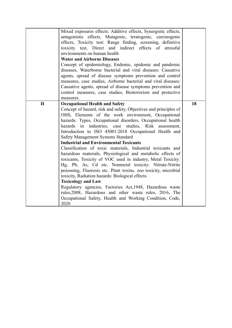|              | Mixed exposures effects: Additive effects, Synergistic effects,<br>antagonistic effects, Mutagenic, teratogenic, carcinogenic<br>effects, Toxicity test: Range finding, screening, definitive<br>toxicity test, Direct and indirect effects of stressful<br>environments on human health<br><b>Water and Airborne Diseases</b><br>Concept of epidemiology, Endemic, epidemic and pandemic<br>diseases, Waterborne bacterial and viral diseases: Causative<br>agents, spread of disease symptoms prevention and control<br>measures, case studies, Airborne bacterial and viral diseases:<br>Causative agents, spread of disease symptoms prevention and<br>control measures, case studies, Bioterrorism and protective<br>measures.                                                                                                                                                                                                                                                                                                               |    |
|--------------|---------------------------------------------------------------------------------------------------------------------------------------------------------------------------------------------------------------------------------------------------------------------------------------------------------------------------------------------------------------------------------------------------------------------------------------------------------------------------------------------------------------------------------------------------------------------------------------------------------------------------------------------------------------------------------------------------------------------------------------------------------------------------------------------------------------------------------------------------------------------------------------------------------------------------------------------------------------------------------------------------------------------------------------------------|----|
| $\mathbf{I}$ | <b>Occupational Health and Safety</b><br>Concept of hazard, risk and safety, Objectives and principles of<br>OHS, Elements of the work environment, Occupational<br>hazards: Types, Occupational disorders, Occupational health<br>hazards in industries, case studies, Risk assessment,<br>Introduction to ISO 45001:2018 Occupational Health and<br>Safety Management Systems Standard<br><b>Industrial and Environmental Toxicants</b><br>Classification of toxic materials, Industrial toxicants and<br>hazardous materials, Physiological and metabolic effects of<br>toxicants, Toxicity of VOC used in industry, Metal Toxicity:<br>Hg, Pb, As, Cd etc. Nonmetal toxicity: Nitrate-Nitrite<br>poisoning, Fluorosis etc. Plant toxins, zoo toxicity, microbial<br>toxicity, Radiation hazards: Biological effects.<br><b>Toxicology and Law</b><br>Regulatory agencies, Factories Act, 1948, Hazardous waste<br>rules, 2008, Hazardous and other waste rules, 2016, The<br>Occupational Safety, Health and Working Condition, Code,<br>2020 | 18 |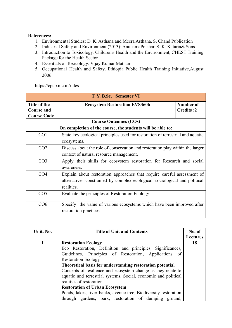- 1. Environmental Studies: D. K. Asthana and Meera Asthana, S. Chand Publication
- 2. Industrial Safety and Environment (2013): AnupamaPrashar, S. K. Kataria& Sons.
- 3. Introduction to Toxicology, Children's Health and the Environment, CHEST Training Package for the Health Sector.
- 4. Essentials of Toxicology: Vijay Kumar Matham
- 5. Occupational Health and Safety, Ethiopia Public Health Training Initiative,August 2006

https://cpcb.nic.in/rules

| T. Y. B.Sc. Semester VI                                 |                                                                                                                                                                     |                               |
|---------------------------------------------------------|---------------------------------------------------------------------------------------------------------------------------------------------------------------------|-------------------------------|
| Title of the<br><b>Course and</b><br><b>Course Code</b> | <b>Ecosystem Restoration EVS3606</b>                                                                                                                                | Number of<br><b>Credits:2</b> |
|                                                         | <b>Course Outcomes (COs)</b>                                                                                                                                        |                               |
|                                                         | On completion of the course, the students will be able to:                                                                                                          |                               |
| CO <sub>1</sub>                                         | State key ecological principles used for restoration of terrestrial and aquatic<br>ecosystems.                                                                      |                               |
| CO <sub>2</sub>                                         | Discuss about the role of conservation and restoration play within the larger<br>context of natural resource management.                                            |                               |
| CO <sub>3</sub>                                         | Apply their skills for ecosystem restoration for Research and social<br>awareness.                                                                                  |                               |
| CO <sub>4</sub>                                         | Explain about restoration approaches that require careful assessment of<br>alternatives constrained by complex ecological, sociological and political<br>realities. |                               |
| CO <sub>5</sub>                                         | Evaluate the principles of Restoration Ecology.                                                                                                                     |                               |
| CO6                                                     | Specify the value of various ecosystems which have been improved after<br>restoration practices.                                                                    |                               |

| Unit. No. | <b>Title of Unit and Contents</b>                                | No. of   |
|-----------|------------------------------------------------------------------|----------|
|           |                                                                  | Lectures |
|           | <b>Restoration Ecology</b>                                       | 18       |
|           | Eco Restoration, Definition and principles, Significances,       |          |
|           | Guidelines, Principles of Restoration, Applications of           |          |
|           | <b>Restoration Ecology</b>                                       |          |
|           | Theoretical basis for understanding restoration potential        |          |
|           | Concepts of resilience and ecosystem change as they relate to    |          |
|           | aquatic and terrestrial systems, Social, economic and political  |          |
|           | realities of restoration                                         |          |
|           | <b>Restoration of Urban Ecosystem</b>                            |          |
|           | Ponds, lakes, river banks, avenue tree, Biodiversity restoration |          |
|           | through gardens, park, restoration of dumping ground,            |          |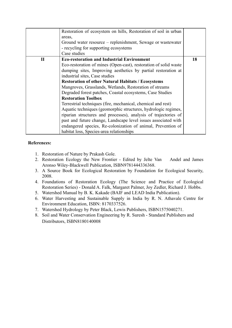|              | Restoration of ecosystem on hills, Restoration of soil in urban<br>areas,<br>Ground water resource – replenishment, Sewage or wastewater<br>- recycling for supporting ecosystems                                                                                                                                                                                               |    |
|--------------|---------------------------------------------------------------------------------------------------------------------------------------------------------------------------------------------------------------------------------------------------------------------------------------------------------------------------------------------------------------------------------|----|
|              | Case studies                                                                                                                                                                                                                                                                                                                                                                    |    |
| $\mathbf{I}$ | <b>Eco-restoration and Industrial Environment</b><br>Eco-restoration of mines (Open-cast), restoration of solid waste<br>dumping sites, Improving aesthetics by partial restoration at                                                                                                                                                                                          | 18 |
|              | industrial sites, Case studies<br><b>Restoration of other Natural Habitats / Ecosystems</b><br>Mangroves, Grasslands, Wetlands, Restoration of streams<br>Degraded forest patches, Coastal ecosystems, Case Studies<br><b>Restoration Toolbox</b>                                                                                                                               |    |
|              | Terrestrial techniques (fire, mechanical, chemical and rest)<br>Aquatic techniques (geomorphic structures, hydrologic regimes,<br>riparian structures and processes), analysis of trajectories of<br>past and future change, Landscape level issues associated with<br>endangered species, Re-colonization of animal, Prevention of<br>habitat loss, Species-area relationships |    |

- 1. Restoration of Nature by Prakash Gole.
- 2. Restoration Ecology the New Frontier Edited by Jelte Van Andel and James Aronso Wiley-Blackwell Publication, ISBN9781444336368.
- 3. A Source Book for Ecological Restoration by Foundation for Ecological Security, 2008.
- 4. Foundations of Restoration Ecology (The Science and Practice of Ecological Restoration Series) - Donald A. Falk, Margaret Palmer, Joy Zedler, Richard J. Hobbs.
- 5. Watershed Manual by B. K. Kakade (BAIF and LEAD India Publication).
- 6. Water Harvesting and Sustainable Supply in India by R. N. Athavale Centre for Environment Education, ISBN: 8170337526.
- 7. Watershed Hydrology by Peter Black, Lewis Publishers, ISBN1575040271.
- 8. Soil and Water Conservation Engineering by R. Suresh Standard Publishers and Distributors, ISBN8180140008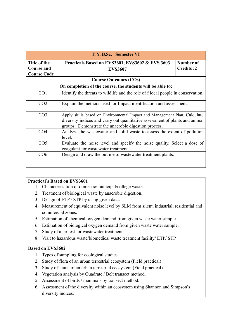| T. Y. B.Sc. Semester VI                                    |                                                                                                                                                                                                                   |                               |
|------------------------------------------------------------|-------------------------------------------------------------------------------------------------------------------------------------------------------------------------------------------------------------------|-------------------------------|
| Title of the<br>Course and<br><b>Course Code</b>           | Practicals Based on EVS3601, EVS3602 & EVS 3603<br><b>EVS3607</b>                                                                                                                                                 | Number of<br><b>Credits:2</b> |
|                                                            | <b>Course Outcomes (COs)</b>                                                                                                                                                                                      |                               |
| On completion of the course, the students will be able to: |                                                                                                                                                                                                                   |                               |
| CO <sub>1</sub>                                            | Identify the threats to wildlife and the role of f local people in conservation.                                                                                                                                  |                               |
| CO <sub>2</sub>                                            | Explain the methods used for Impact identification and assessment.                                                                                                                                                |                               |
| CO <sub>3</sub>                                            | Apply skills based on Environmental Impact and Management Plan. Calculate<br>diversity indices and carry out quantitative assessment of plants and animal<br>groups. Demonstrate the anaerobic digestion process. |                               |
| CO <sub>4</sub>                                            | Analyze the wastewater and solid waste to assess the extent of pollution<br>level.                                                                                                                                |                               |
| CO <sub>5</sub>                                            | Evaluate the noise level and specify the noise quality. Select a dose of<br>coagulant for wastewater treatment.                                                                                                   |                               |
| CO6                                                        | Design and draw the outline of was tewater treatment plants.                                                                                                                                                      |                               |

- 1. Characterization of domestic/municipal/college waste.
- 2. Treatment of biological waste by anaerobic digestion.
- 3. Design of ETP / STP by using given data.
- 4. Measurement of equivalent noise level by SLM from silent, industrial, residential and commercial zones.
- 5. Estimation of chemical oxygen demand from given waste water sample.
- 6. Estimation of biological oxygen demand from given waste water sample.
- 7. Study of a jar test for wastewater treatment.
- 8. Visit to hazardous waste/biomedical waste treatment facility/ ETP/ STP.

#### **Based on EVS3602**

- 1. Types of sampling for ecological studies
- 2. Study of flora of an urban terrestrial ecosystem (Field practical)
- 3. Study of fauna of an urban terrestrial ecosystem (Field practical)
- 4. Vegetation analysis by Quadrate / Belt transect method.
- 5. Assessment of birds / mammals by transect method.
- 6. Assessment of the diversity within an ecosystem using Shannon and Simpson's diversity indices.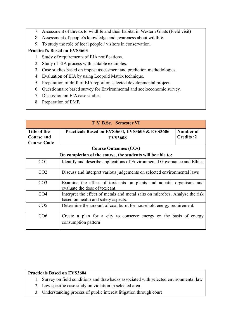- 7. Assessment of threats to wildlife and their habitat in Western Ghats (Field visit)
- 8. Assessment of people's knowledge and awareness about wildlife.
- 9. To study the role of local people / visitors in conservation.

- 1. Study of requirements of EIA notifications.
- 2. Study of EIA process with suitable examples.
- 3. Case studies based on impact assessment and prediction methodologies.
- 4. Evaluation of EIA by using Leopold Matrix technique.
- 5. Preparation of draft of EIA report on selected developmental project.
- 6. Questionnaire based survey for Environmental and socioeconomic survey.
- 7. Discussion on EIA case studies.
- 8. Preparation of EMP.

| T. Y. B.Sc. Semester VI                                 |                                                                                                                     |                        |
|---------------------------------------------------------|---------------------------------------------------------------------------------------------------------------------|------------------------|
| Title of the<br><b>Course and</b><br><b>Course Code</b> | Practicals Based on EVS3604, EVS3605 & EVS3606<br><b>EVS3608</b>                                                    | Number of<br>Credits:2 |
|                                                         | <b>Course Outcomes (COs)</b>                                                                                        |                        |
|                                                         | On completion of the course, the students will be able to:                                                          |                        |
| CO <sub>1</sub>                                         | Identify and describe applications of Environmental Governance and Ethics                                           |                        |
| CO <sub>2</sub>                                         | Discuss and interpret various judgements on selected environmental laws                                             |                        |
| CO <sub>3</sub>                                         | Examine the effect of toxicants on plants and aquatic organisms and<br>evaluate the dose of toxicant.               |                        |
| CO <sub>4</sub>                                         | Interpret the effect of metals and metal salts on microbes. Analyse the risk<br>based on health and safety aspects. |                        |
| CO <sub>5</sub>                                         | Determine the amount of coal burnt for household energy requirement.                                                |                        |
| CO6                                                     | Create a plan for a city to conserve energy on the basis of energy<br>consumption pattern                           |                        |

- 1. Survey on field conditions and drawbacks associated with selected environmental law
- 2. Law specific case study on violation in selected area
- 3. Understanding process of public interest litigation through court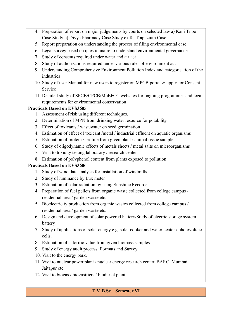- 4. Preparation of report on major judgements by courts on selected law a) Kani Tribe Case Study b) Divya Pharmacy Case Study c) Taj Trapezium Case
- 5. Report preparation on understanding the process of filing environmental case
- 6. Legal survey based on questionnaire to understand environmental governance
- 7. Study of consents required under water and air act
- 8. Study of authorizations required under various rules of environment act
- 9. Understanding Comprehensive Environment Pollution Index and categorisation of the industries
- 10. Study of user Manual for new users to register on MPCB portal & apply for Consent Service
- 11. Detailed study of SPCB/CPCB/MoEFCC websites for ongoing programmes and legal requirements for environmental conservation

- 1. Assessment of risk using different techniques.
- 2. Determination of MPN from drinking water resource for potability
- 3. Effect of toxicants / wastewater on seed germination
- 4. Estimation of effect of toxicant /metal / industrial effluent on aquatic organisms
- 5. Estimation of protein / proline from given plant / animal tissue sample
- 6. Study of oligodynamic effects of metals sheets / metal salts on microorganisms
- 7. Visit to toxicity testing laboratory / research center
- 8. Estimation of polyphenol content from plants exposed to pollution

# **Practicals Based on EVS3606**

- 1. Study of wind data analysis for installation of windmills
- 2. Study of luminance by Lux meter
- 3. Estimation of solar radiation by using Sunshine Recorder
- 4. Preparation of fuel pellets from organic waste collected from college campus / residential area / garden waste etc.
- 5. Bioelectricity production from organic wastes collected from college campus / residential area / garden waste etc.
- 6. Design and development of solar powered battery/Study of electric storage system battery
- 7. Study of applications of solar energy e.g. solar cooker and water heater / photovoltaic cells.
- 8. Estimation of calorific value from given biomass samples
- 9. Study of energy audit process: Formats and Survey
- 10. Visit to the energy park.
- 11. Visit to nuclear power plant / nuclear energy research center, BARC, Mumbai, Jaitapur etc.
- 12. Visit to biogas / biogasifiers / biodiesel plant

# **T. Y. B.Sc. Semester VI**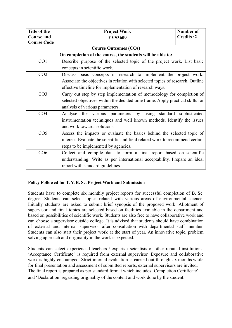| Title of the       | <b>Project Work</b>                                                            | Number of        |  |
|--------------------|--------------------------------------------------------------------------------|------------------|--|
| <b>Course and</b>  | <b>EVS3609</b>                                                                 | <b>Credits:2</b> |  |
| <b>Course Code</b> |                                                                                |                  |  |
|                    | <b>Course Outcomes (COs)</b>                                                   |                  |  |
|                    | On completion of the course, the students will be able to:                     |                  |  |
| CO <sub>1</sub>    | Describe purpose of the selected topic of the project work. List basic         |                  |  |
|                    | concepts in scientific work.                                                   |                  |  |
| CO <sub>2</sub>    | Discuss basic concepts in research to implement the project work.              |                  |  |
|                    | Associate the objectives in relation with selected topics of research. Outline |                  |  |
|                    | effective timeline for implementation of research ways.                        |                  |  |
| CO <sub>3</sub>    | Carry out step by step implementation of methodology for completion of         |                  |  |
|                    | selected objectives within the decided time frame. Apply practical skills for  |                  |  |
|                    | analysis of various parameters.                                                |                  |  |
| CO <sub>4</sub>    | Analyse the various parameters by using standard sophisticated                 |                  |  |
|                    | instrumentation techniques and well known methods. Identify the issues         |                  |  |
|                    | and work towards solutions.                                                    |                  |  |
| CO <sub>5</sub>    | Assess the impacts or evaluate the basics behind the selected topic of         |                  |  |
|                    | interest. Evaluate the scientific and field related work to recommend certain  |                  |  |
|                    | steps to be implemented by agencies.                                           |                  |  |
| CO6                | Collect and compile data to form a final report based on scientific            |                  |  |
|                    | understanding. Write as per international acceptability. Prepare an ideal      |                  |  |
|                    | report with standard guidelines.                                               |                  |  |

# **Policy Followed for T. Y. B. Sc. Project Work and Submission**

Students have to complete six monthly project reports for successful completion of B. Sc. degree. Students can select topics related with various areas of environmental science. Initially students are asked to submit brief synopsis of the proposed work. Allotment of supervisor and final topics are selected based on facilities available in the department and based on possibilities of scientific work. Students are also free to have collaborative work and can choose a supervisor outside college. It is advised that students should have combination of external and internal supervisor after consultation with departmental staff member. Students can also start their project work at the start of year. An innovative topic, problem solving approach and originality in the work is expected.

Students can select experienced teachers / experts / scientists of other reputed institutions. 'Acceptance Certificate' is required from external supervisor. Exposure and collaborative work is highly encouraged. Strict internal evaluation is carried out through six months while for final presentation and assessment of submitted reports, external supervisors are invited. The final report is prepared as per standard format which includes 'Completion Certificate' and 'Declaration' regarding originality of the content and work done by the student.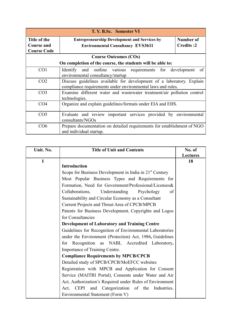| T. Y. B.Sc. Semester VI                                 |                                                                                                                                      |                        |
|---------------------------------------------------------|--------------------------------------------------------------------------------------------------------------------------------------|------------------------|
| Title of the<br><b>Course and</b><br><b>Course Code</b> | <b>Entrepreneurship Development and Services by</b><br><b>Environmental Consultancy EVS3611</b>                                      | Number of<br>Credits:2 |
|                                                         | <b>Course Outcomes (COs)</b>                                                                                                         |                        |
|                                                         | On completion of the course, the students will be able to:                                                                           |                        |
| CO <sub>1</sub>                                         | Identify and outline various requirements for development<br>environmental consultancy/startup                                       | of                     |
| CO <sub>2</sub>                                         | Discuss guidelines available for development of a laboratory. Explain<br>compliance requirements under environmental laws and rules. |                        |
| CO <sub>3</sub>                                         | Examine different water and wastewater treatment/air pollution control<br>technologies.                                              |                        |
| CO <sub>4</sub>                                         | Organize and explain guidelines/formats under EIA and EHS.                                                                           |                        |
| CO <sub>5</sub>                                         | Evaluate and review important services provided by environmental<br>consultants/NGOs                                                 |                        |
| CO6                                                     | Prepare documentation on detailed requirements for establishment of NGO<br>and individual startup.                                   |                        |

| Unit. No.   | <b>Title of Unit and Contents</b>                                   | No. of          |
|-------------|---------------------------------------------------------------------|-----------------|
|             |                                                                     | <b>Lectures</b> |
| $\mathbf I$ | <b>Introduction</b>                                                 | 18              |
|             | Scope for Business Development in India in 21 <sup>st</sup> Century |                 |
|             | Most Popular Business Types and Requirements for                    |                 |
|             | Formation, Need for Government/Professional/Licenses&               |                 |
|             | Collaborations, Understanding<br>Psychology<br>of                   |                 |
|             | Sustainability and Circular Economy as a Consultant                 |                 |
|             | Current Projects and Thrust Area of CPCB/MPCB                       |                 |
|             | Patents for Business Development, Copyrights and Logos              |                 |
|             | for Consultancies                                                   |                 |
|             | <b>Development of Laboratory and Training Centre</b>                |                 |
|             | Guidelines for Recognition of Environmental Laboratories            |                 |
|             | under the Environment (Protection) Act, 1986, Guidelines            |                 |
|             | for Recognition as NABL Accredited Laboratory,                      |                 |
|             | Importance of Training Centre.                                      |                 |
|             | <b>Compliance Requirements by MPCB/CPCB</b>                         |                 |
|             | Detailed study of SPCB/CPCB/MoEFCC websites                         |                 |
|             | Registration with MPCB and Application for Consent                  |                 |
|             | Service (MAITRI Portal), Consents under Water and Air               |                 |
|             | Act, Authorization's Required under Rules of Environment            |                 |
|             | and Categorization of the Industries,<br>Act. CEPI                  |                 |
|             | Environmental Statement (Form V)                                    |                 |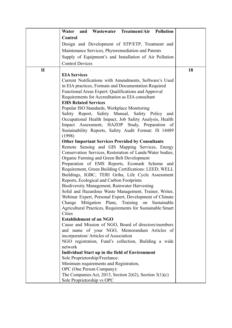|              | Water and Wastewater Treatment/Air Pollution                         |    |
|--------------|----------------------------------------------------------------------|----|
|              | Control                                                              |    |
|              | Design and Development of STP/ETP, Treatment and                     |    |
|              | Maintenance Services, Phytoremediation and Patents                   |    |
|              | Supply of Equipment's and Installation of Air Pollution              |    |
|              | <b>Control Devices</b>                                               |    |
|              |                                                                      |    |
| $\mathbf{I}$ | <b>EIA Services</b>                                                  | 18 |
|              | Current Notifications with Amendments, Software's Used               |    |
|              | in EIA practices, Formats and Documentation Required                 |    |
|              | Functional Areas Expert: Qualifications and Approval                 |    |
|              | Requirements for Accreditation as EIA consultant                     |    |
|              | <b>EHS Related Services</b>                                          |    |
|              | Popular ISO Standards, Workplace Monitoring                          |    |
|              | Safety Report, Safety Manual, Safety Policy<br>and                   |    |
|              | Occupational Health Impact, Job Safety Analysis, Health              |    |
|              | Impact Assessment, HAZOP Study, Preparation of                       |    |
|              | Sustainability Reports, Safety Audit Format: IS 14489                |    |
|              | (1998)                                                               |    |
|              | <b>Other Important Services Provided by Consultants</b>              |    |
|              | Remote Sensing and GIS Mapping Services, Energy                      |    |
|              | Conservation Services, Restoration of Lands/Water bodies,            |    |
|              | Organic Farming and Green Belt Development                           |    |
|              | Preparation of EMS Reports, Ecomark Scheme and                       |    |
|              | Requirement, Green Building Certifications: LEED, WELL               |    |
|              | Buildings, IGBC, TERI Griha, Life Cycle Assessment                   |    |
|              | Reports, Ecological and Carbon Footprints                            |    |
|              | <b>Biodiversity Management, Rainwater Harvesting</b>                 |    |
|              | Solid and Hazardous Waste Management, Trainer, Writer,               |    |
|              | Webinar Expert, Personal Expert, Development of Climate              |    |
|              | Change Mitigation Plans, Training on Sustainable                     |    |
|              | Agricultural Practices, Requirements for Sustainable Smart<br>Cities |    |
|              | <b>Establishment of an NGO</b>                                       |    |
|              | Cause and Mission of NGO, Board of directors/members                 |    |
|              | and name of your NGO, Memorandum Articles of                         |    |
|              | incorporation/ Articles of Association                               |    |
|              | NGO registration, Fund's collection, Building a wide                 |    |
|              | network                                                              |    |
|              | <b>Individual Start up in the field of Environment</b>               |    |
|              | Sole Proprietorship/Freelance:                                       |    |
|              | Minimum requirements and Registration,                               |    |
|              | OPC (One Person Company):                                            |    |
|              | The Companies Act, 2013, Section 2(62), Section $3(1)(c)$            |    |
|              | Sole Proprietorship vs OPC                                           |    |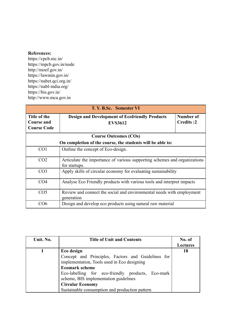<https://cpcb.nic.in/> <https://mpcb.gov.in/node> <http://moef.gov.in/> <https://lawmin.gov.in/> <https://nabet.qci.org.in/> <https://nabl-india.org/> <https://bis.gov.in/> <http://www.mca.gov.in>

| T. Y. B.Sc. Semester VI                                 |                                                                                            |                        |
|---------------------------------------------------------|--------------------------------------------------------------------------------------------|------------------------|
| Title of the<br><b>Course and</b><br><b>Course Code</b> | <b>Design and Development of Ecofriendly Products</b><br><b>EVS3612</b>                    | Number of<br>Credits:2 |
|                                                         | <b>Course Outcomes (COs)</b>                                                               |                        |
|                                                         | On completion of the course, the students will be able to:                                 |                        |
| CO <sub>1</sub>                                         | Outline the concept of Eco-design.                                                         |                        |
| CO <sub>2</sub>                                         | Articulate the importance of various supporting schemes and organizations<br>for startups. |                        |
| CO <sub>3</sub>                                         | Apply skills of circular economy for evaluating sustainability                             |                        |
| CO <sub>4</sub>                                         | Analyse Eco Friendly products with various tools and interpret impacts                     |                        |
| CO <sub>5</sub>                                         | Review and connect the social and environmental needs with employment<br>generation        |                        |
| CO6                                                     | Design and develop eco products using natural raw material                                 |                        |

| Unit. No. | <b>Title of Unit and Contents</b>                  | No. of          |
|-----------|----------------------------------------------------|-----------------|
|           |                                                    | <b>Lectures</b> |
|           | Eco design                                         | 18              |
|           | Concept and Principles, Factors and Guidelines for |                 |
|           | implementation, Tools used in Eco designing        |                 |
|           | <b>Ecomark scheme</b>                              |                 |
|           | Eco-labelling for eco-friendly products, Eco-mark  |                 |
|           | scheme, BIS implementation guidelines              |                 |
|           | <b>Circular Economy</b>                            |                 |
|           | Sustainable consumption and production pattern     |                 |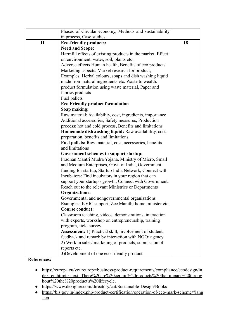|              | Phases of Circular economy, Methods and sustainability         |    |
|--------------|----------------------------------------------------------------|----|
|              | in process, Case studies                                       |    |
| $\mathbf{I}$ | <b>Eco-friendly products:</b>                                  | 18 |
|              | <b>Need and Scope:</b>                                         |    |
|              | Harmful effects of existing products in the market, Effect     |    |
|              | on environment: water, soil, plants etc.,                      |    |
|              | Adverse effects Human health, Benefits of eco products         |    |
|              | Marketing aspects: Market research for product,                |    |
|              | Examples: Herbal colours, soaps and dish washing liquid        |    |
|              | made from natural ingredients etc. Waste to wealth:            |    |
|              | product formulation using waste material, Paper and            |    |
|              | fabrics products                                               |    |
|              | Fuel pallets                                                   |    |
|              | <b>Eco Friendly product formulation</b>                        |    |
|              | Soap making:                                                   |    |
|              | Raw material: Availability, cost, ingredients, importance      |    |
|              | Additional accessories, Safety measures, Production            |    |
|              | process: hot and cold process, Benefits and limitations        |    |
|              | Homemade dishwashing liquid: Raw availability, cost,           |    |
|              | preparation, benefits and limitations                          |    |
|              | Fuel pallets: Raw material, cost, accessories, benefits        |    |
|              | and limitations                                                |    |
|              | Government schemes to support startup:                         |    |
|              | Pradhan Mantri Mudra Yojana, Ministry of Micro, Small          |    |
|              | and Medium Enterprises, Govt. of India, Government             |    |
|              | funding for startup, Startup India Network, Connect with       |    |
|              | Incubators: Find incubators in your region that can            |    |
|              | support your startup's growth, Connect with Government:        |    |
|              | Reach out to the relevant Ministries or Departments            |    |
|              | <b>Organizations:</b>                                          |    |
|              | Governmental and nongovernmental organizations                 |    |
|              | Examples: KVIC support, Zee Marathi home minister etc.         |    |
|              | <b>Course conduct:</b>                                         |    |
|              | Classroom teaching, videos, demonstrations, interaction        |    |
|              | with experts, workshop on entrepreneurship, training           |    |
|              | program, field survey.                                         |    |
|              | <b>Assessment:</b> 1) Practical skill, involvement of student, |    |
|              | feedback and remark by interaction with NGO/ agency            |    |
|              | 2) Work in sales/ marketing of products, submission of         |    |
|              | reports etc.                                                   |    |
|              | 3) Development of one eco-friendly product                     |    |

- [https://europa.eu/youreurope/business/product-requirements/compliance/ecodesign/in](https://europa.eu/youreurope/business/product-requirements/compliance/ecodesign/index_en.htm#:~:text=There%20are%20certain%20products%20that,impact%20throughout%20the%20product) [dex\\_en.htm#:~:text=There%20are%20certain%20products%20that,impact%20throug](https://europa.eu/youreurope/business/product-requirements/compliance/ecodesign/index_en.htm#:~:text=There%20are%20certain%20products%20that,impact%20throughout%20the%20product) [hout%20the%20product's%20lifecycle.](https://europa.eu/youreurope/business/product-requirements/compliance/ecodesign/index_en.htm#:~:text=There%20are%20certain%20products%20that,impact%20throughout%20the%20product)
- <https://www.dexigner.com/directory/cat/Sustainable-Design/Books>
- [https://bis.gov.in/index.php/product-certification/operation-of-eco-mark-scheme/?lang](https://bis.gov.in/index.php/product-certification/operation-of-eco-mark-scheme/?lang=en)  $=$ en